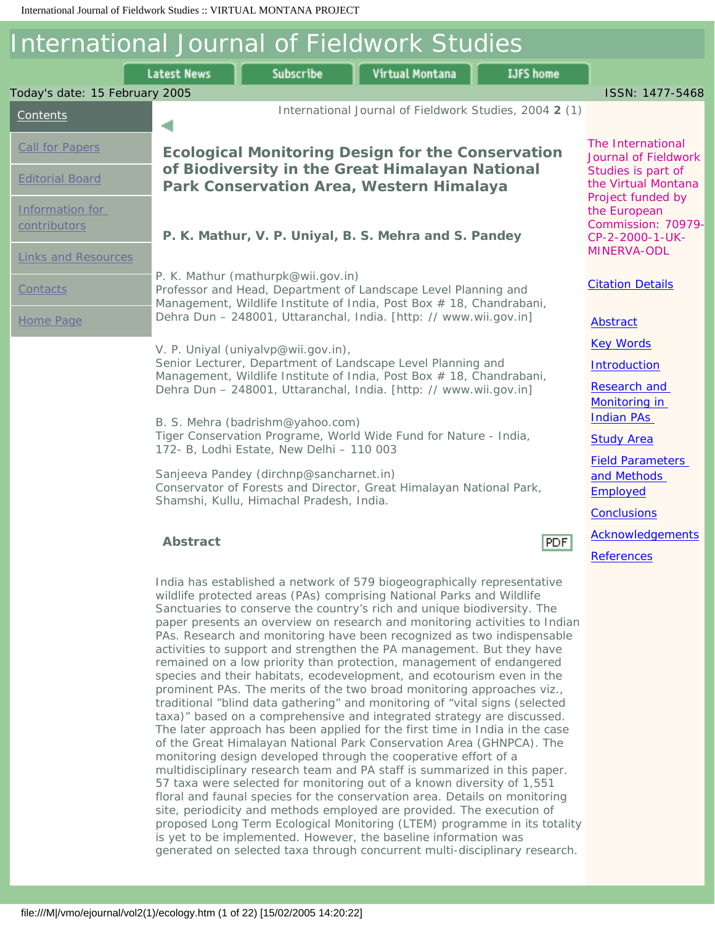#### International Journal of Fieldwork Studies Subscribe Virtual Montana **Latest News IJFS** home Today's date: 15 February 2005 ISSN: 1477-5468 International Journal of Fieldwork Studies, 2004 **2** (1) [Contents](file:///M|/vmo/ejournal/volume_index.html) ٠ The International [Call for Papers](file:///M|/vmo/ejournal/callforpapers.html) **Ecological Monitoring Design for the Conservation**  Journal of Fieldwork **of Biodiversity in the Great Himalayan National**  Studies is part of [Editorial Board](file:///M|/vmo/ejournal/editorialboard.html) the Virtual Montana **Park Conservation Area, Western Himalaya** Project funded by [Information for](file:///M|/vmo/ejournal/contributors.html) the European Commission: 70979 [contributors](file:///M|/vmo/ejournal/contributors.html) **P. K. Mathur, V. P. Uniyal, B. S. Mehra and S. Pandey** CP-2-2000-1-UK-MINERVA-ODL [Links and Resources](file:///M|/vmo/ejournal/resources.html) P. K. Mathur (mathurpk@wii.gov.in) [Citation Details](#page-20-0) **[Contacts](file:///M|/vmo/ejournal/contacts.html)** Professor and Head, Department of Landscape Level Planning and Management, Wildlife Institute of India, Post Box # 18, Chandrabani, Dehra Dun – 248001, Uttaranchal, India. [http: // www.wii.gov.in] [Home Page](file:///M|/vmo/ejournal/index.htm) **[Abstract](#page-0-0)** [Key Words](#page-0-1) V. P. Uniyal (uniyalvp@wii.gov.in), Senior Lecturer, Department of Landscape Level Planning and **[Introduction](#page-1-0)** Management, Wildlife Institute of India, Post Box # 18, Chandrabani, [Research and](#page-2-0) Dehra Dun – 248001, Uttaranchal, India. [http: // www.wii.gov.in] [Monitoring in](#page-2-0) [Indian PAs](#page-2-0) B. S. Mehra (badrishm@yahoo.com) Tiger Conservation Programe, World Wide Fund for Nature - India, **[Study Area](#page-6-0)** 172- B, Lodhi Estate, New Delhi – 110 003 [Field Parameters](#page-10-0)  Sanjeeva Pandey (dirchnp@sancharnet.in) [and Methods](#page-10-0)  Conservator of Forests and Director, Great Himalayan National Park, **[Employed](#page-10-0)** Shamshi, Kullu, Himachal Pradesh, India. **[Conclusions](#page-13-0)** [Acknowledgements](#page-13-1) **Abstract** PDF [References](#page-13-2) India has established a network of 579 biogeographically representative wildlife protected areas (PAs) comprising National Parks and Wildlife

<span id="page-0-1"></span>file:///M|/vmo/ejournal/vol2(1)/ecology.htm (1 of 22) [15/02/2005 14:20:22]

<span id="page-0-0"></span>Sanctuaries to conserve the country's rich and unique biodiversity. The paper presents an overview on research and monitoring activities to Indian PAs. Research and monitoring have been recognized as two indispensable activities to support and strengthen the PA management. But they have remained on a low priority than protection, management of endangered species and their habitats, ecodevelopment, and ecotourism even in the prominent PAs. The merits of the two broad monitoring approaches viz., traditional "blind data gathering" and monitoring of "vital signs (selected taxa)" based on a comprehensive and integrated strategy are discussed. The later approach has been applied for the first time in India in the case of the Great Himalayan National Park Conservation Area (GHNPCA). The monitoring design developed through the cooperative effort of a multidisciplinary research team and PA staff is summarized in this paper. 57 taxa were selected for monitoring out of a known diversity of 1,551 floral and faunal species for the conservation area. Details on monitoring site, periodicity and methods employed are provided. The execution of proposed Long Term Ecological Monitoring (LTEM) programme in its totality is yet to be implemented. However, the baseline information was generated on selected taxa through concurrent multi-disciplinary research.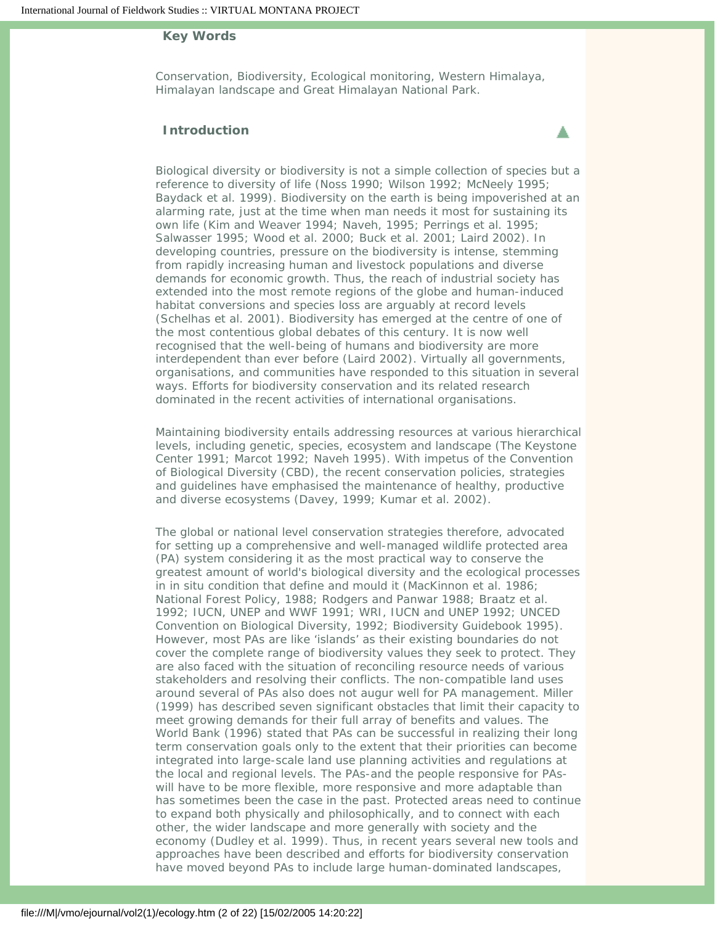## **Key Words**

Conservation, Biodiversity, Ecological monitoring, Western Himalaya, Himalayan landscape and Great Himalayan National Park.

▲

# **Introduction**

<span id="page-1-0"></span>Biological diversity or biodiversity is not a simple collection of species but a reference to diversity of life (Noss 1990; Wilson 1992; McNeely 1995; Baydack et al. 1999). Biodiversity on the earth is being impoverished at an alarming rate, just at the time when man needs it most for sustaining its own life (Kim and Weaver 1994; Naveh, 1995; Perrings et al. 1995; Salwasser 1995; Wood et al. 2000; Buck et al. 2001; Laird 2002). In developing countries, pressure on the biodiversity is intense, stemming from rapidly increasing human and livestock populations and diverse demands for economic growth. Thus, the reach of industrial society has extended into the most remote regions of the globe and human-induced habitat conversions and species loss are arguably at record levels (Schelhas et al. 2001). Biodiversity has emerged at the centre of one of the most contentious global debates of this century. It is now well recognised that the well-being of humans and biodiversity are more interdependent than ever before (Laird 2002). Virtually all governments, organisations, and communities have responded to this situation in several ways. Efforts for biodiversity conservation and its related research dominated in the recent activities of international organisations.

Maintaining biodiversity entails addressing resources at various hierarchical levels, including genetic, species, ecosystem and landscape (The Keystone Center 1991; Marcot 1992; Naveh 1995). With impetus of the Convention of Biological Diversity (CBD), the recent conservation policies, strategies and guidelines have emphasised the maintenance of healthy, productive and diverse ecosystems (Davey, 1999; Kumar et al. 2002).

The global or national level conservation strategies therefore, advocated for setting up a comprehensive and well-managed wildlife protected area (PA) system considering it as the most practical way to conserve the greatest amount of world's biological diversity and the ecological processes in in situ condition that define and mould it (MacKinnon et al. 1986; National Forest Policy, 1988; Rodgers and Panwar 1988; Braatz et al. 1992; IUCN, UNEP and WWF 1991; WRI, IUCN and UNEP 1992; UNCED Convention on Biological Diversity, 1992; Biodiversity Guidebook 1995). However, most PAs are like 'islands' as their existing boundaries do not cover the complete range of biodiversity values they seek to protect. They are also faced with the situation of reconciling resource needs of various stakeholders and resolving their conflicts. The non-compatible land uses around several of PAs also does not augur well for PA management. Miller (1999) has described seven significant obstacles that limit their capacity to meet growing demands for their full array of benefits and values. The World Bank (1996) stated that PAs can be successful in realizing their long term conservation goals only to the extent that their priorities can become integrated into large-scale land use planning activities and regulations at the local and regional levels. The PAs-and the people responsive for PAswill have to be more flexible, more responsive and more adaptable than has sometimes been the case in the past. Protected areas need to continue to expand both physically and philosophically, and to connect with each other, the wider landscape and more generally with society and the economy (Dudley et al. 1999). Thus, in recent years several new tools and approaches have been described and efforts for biodiversity conservation have moved beyond PAs to include large human-dominated landscapes,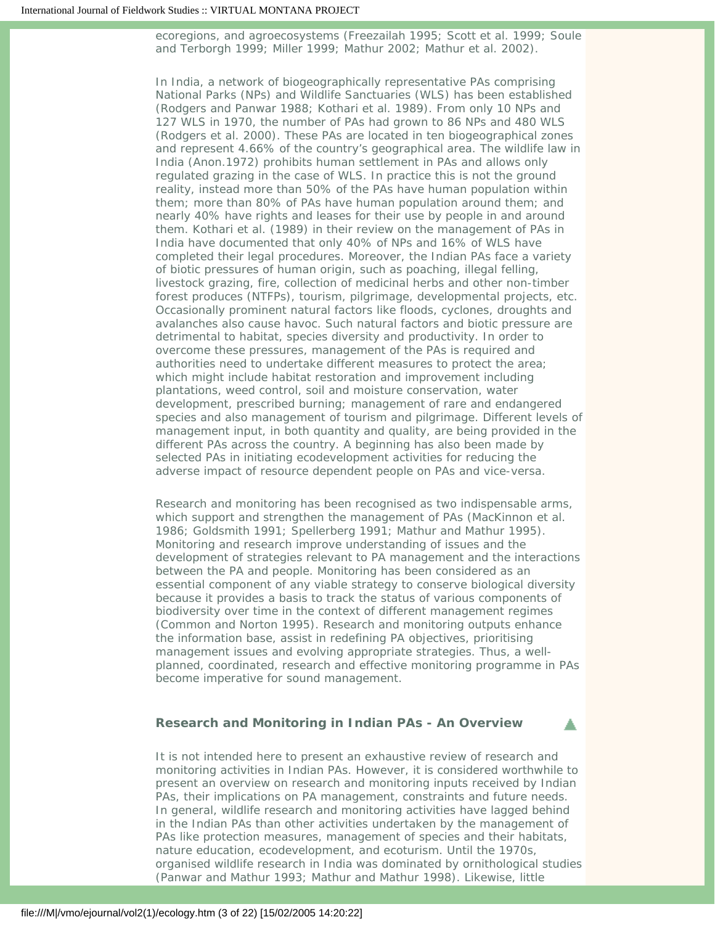ecoregions, and agroecosystems (Freezailah 1995; Scott et al. 1999; Soule and Terborgh 1999; Miller 1999; Mathur 2002; Mathur et al. 2002).

In India, a network of biogeographically representative PAs comprising National Parks (NPs) and Wildlife Sanctuaries (WLS) has been established (Rodgers and Panwar 1988; Kothari et al. 1989). From only 10 NPs and 127 WLS in 1970, the number of PAs had grown to 86 NPs and 480 WLS (Rodgers et al. 2000). These PAs are located in ten biogeographical zones and represent 4.66% of the country's geographical area. The wildlife law in India (Anon.1972) prohibits human settlement in PAs and allows only regulated grazing in the case of WLS. In practice this is not the ground reality, instead more than 50% of the PAs have human population within them; more than 80% of PAs have human population around them; and nearly 40% have rights and leases for their use by people in and around them. Kothari et al. (1989) in their review on the management of PAs in India have documented that only 40% of NPs and 16% of WLS have completed their legal procedures. Moreover, the Indian PAs face a variety of biotic pressures of human origin, such as poaching, illegal felling, livestock grazing, fire, collection of medicinal herbs and other non-timber forest produces (NTFPs), tourism, pilgrimage, developmental projects, etc. Occasionally prominent natural factors like floods, cyclones, droughts and avalanches also cause havoc. Such natural factors and biotic pressure are detrimental to habitat, species diversity and productivity. In order to overcome these pressures, management of the PAs is required and authorities need to undertake different measures to protect the area; which might include habitat restoration and improvement including plantations, weed control, soil and moisture conservation, water development, prescribed burning; management of rare and endangered species and also management of tourism and pilgrimage. Different levels of management input, in both quantity and quality, are being provided in the different PAs across the country. A beginning has also been made by selected PAs in initiating ecodevelopment activities for reducing the adverse impact of resource dependent people on PAs and vice-versa.

Research and monitoring has been recognised as two indispensable arms, which support and strengthen the management of PAs (MacKinnon et al. 1986; Goldsmith 1991; Spellerberg 1991; Mathur and Mathur 1995). Monitoring and research improve understanding of issues and the development of strategies relevant to PA management and the interactions between the PA and people. Monitoring has been considered as an essential component of any viable strategy to conserve biological diversity because it provides a basis to track the status of various components of biodiversity over time in the context of different management regimes (Common and Norton 1995). Research and monitoring outputs enhance the information base, assist in redefining PA objectives, prioritising management issues and evolving appropriate strategies. Thus, a wellplanned, coordinated, research and effective monitoring programme in PAs become imperative for sound management.

# <span id="page-2-0"></span>**Research and Monitoring in Indian PAs - An Overview**

It is not intended here to present an exhaustive review of research and monitoring activities in Indian PAs. However, it is considered worthwhile to present an overview on research and monitoring inputs received by Indian PAs, their implications on PA management, constraints and future needs. In general, wildlife research and monitoring activities have lagged behind in the Indian PAs than other activities undertaken by the management of PAs like protection measures, management of species and their habitats, nature education, ecodevelopment, and ecoturism. Until the 1970s, organised wildlife research in India was dominated by ornithological studies (Panwar and Mathur 1993; Mathur and Mathur 1998). Likewise, little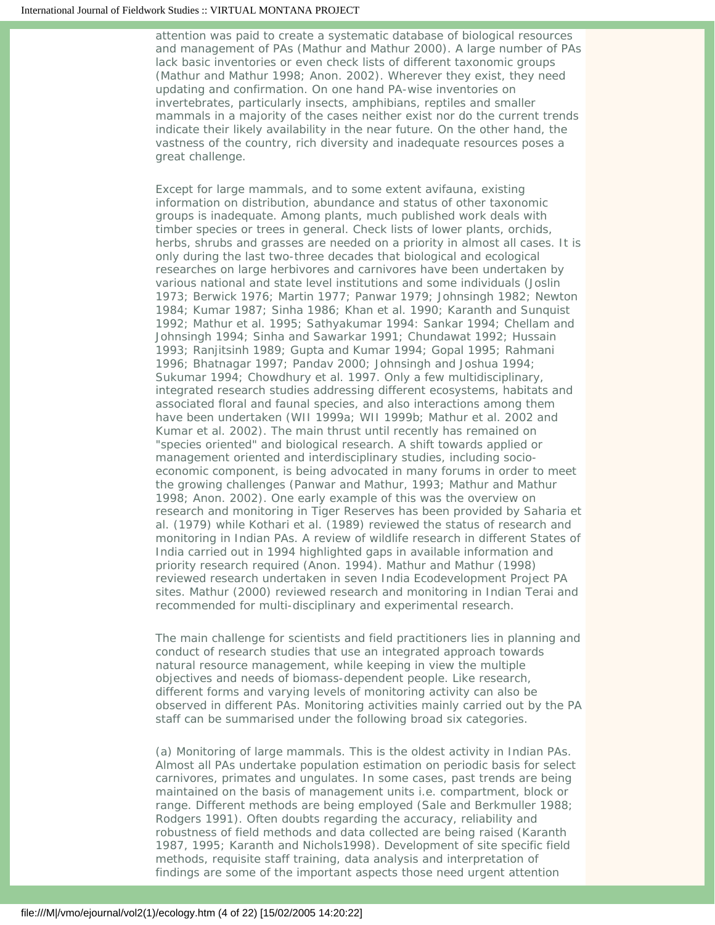attention was paid to create a systematic database of biological resources and management of PAs (Mathur and Mathur 2000). A large number of PAs lack basic inventories or even check lists of different taxonomic groups (Mathur and Mathur 1998; Anon. 2002). Wherever they exist, they need updating and confirmation. On one hand PA-wise inventories on invertebrates, particularly insects, amphibians, reptiles and smaller mammals in a majority of the cases neither exist nor do the current trends indicate their likely availability in the near future. On the other hand, the vastness of the country, rich diversity and inadequate resources poses a great challenge.

Except for large mammals, and to some extent avifauna, existing information on distribution, abundance and status of other taxonomic groups is inadequate. Among plants, much published work deals with timber species or trees in general. Check lists of lower plants, orchids, herbs, shrubs and grasses are needed on a priority in almost all cases. It is only during the last two-three decades that biological and ecological researches on large herbivores and carnivores have been undertaken by various national and state level institutions and some individuals (Joslin 1973; Berwick 1976; Martin 1977; Panwar 1979; Johnsingh 1982; Newton 1984; Kumar 1987; Sinha 1986; Khan et al. 1990; Karanth and Sunquist 1992; Mathur et al. 1995; Sathyakumar 1994: Sankar 1994; Chellam and Johnsingh 1994; Sinha and Sawarkar 1991; Chundawat 1992; Hussain 1993; Ranjitsinh 1989; Gupta and Kumar 1994; Gopal 1995; Rahmani 1996; Bhatnagar 1997; Pandav 2000; Johnsingh and Joshua 1994; Sukumar 1994; Chowdhury et al. 1997. Only a few multidisciplinary, integrated research studies addressing different ecosystems, habitats and associated floral and faunal species, and also interactions among them have been undertaken (WII 1999a; WII 1999b; Mathur et al. 2002 and Kumar et al. 2002). The main thrust until recently has remained on "species oriented" and biological research. A shift towards applied or management oriented and interdisciplinary studies, including socioeconomic component, is being advocated in many forums in order to meet the growing challenges (Panwar and Mathur, 1993; Mathur and Mathur 1998; Anon. 2002). One early example of this was the overview on research and monitoring in Tiger Reserves has been provided by Saharia et al. (1979) while Kothari et al. (1989) reviewed the status of research and monitoring in Indian PAs. A review of wildlife research in different States of India carried out in 1994 highlighted gaps in available information and priority research required (Anon. 1994). Mathur and Mathur (1998) reviewed research undertaken in seven India Ecodevelopment Project PA sites. Mathur (2000) reviewed research and monitoring in Indian Terai and recommended for multi-disciplinary and experimental research.

The main challenge for scientists and field practitioners lies in planning and conduct of research studies that use an integrated approach towards natural resource management, while keeping in view the multiple objectives and needs of biomass-dependent people. Like research, different forms and varying levels of monitoring activity can also be observed in different PAs. Monitoring activities mainly carried out by the PA staff can be summarised under the following broad six categories.

(a) Monitoring of large mammals. This is the oldest activity in Indian PAs. Almost all PAs undertake population estimation on periodic basis for select carnivores, primates and ungulates. In some cases, past trends are being maintained on the basis of management units i.e. compartment, block or range. Different methods are being employed (Sale and Berkmuller 1988; Rodgers 1991). Often doubts regarding the accuracy, reliability and robustness of field methods and data collected are being raised (Karanth 1987, 1995; Karanth and Nichols1998). Development of site specific field methods, requisite staff training, data analysis and interpretation of findings are some of the important aspects those need urgent attention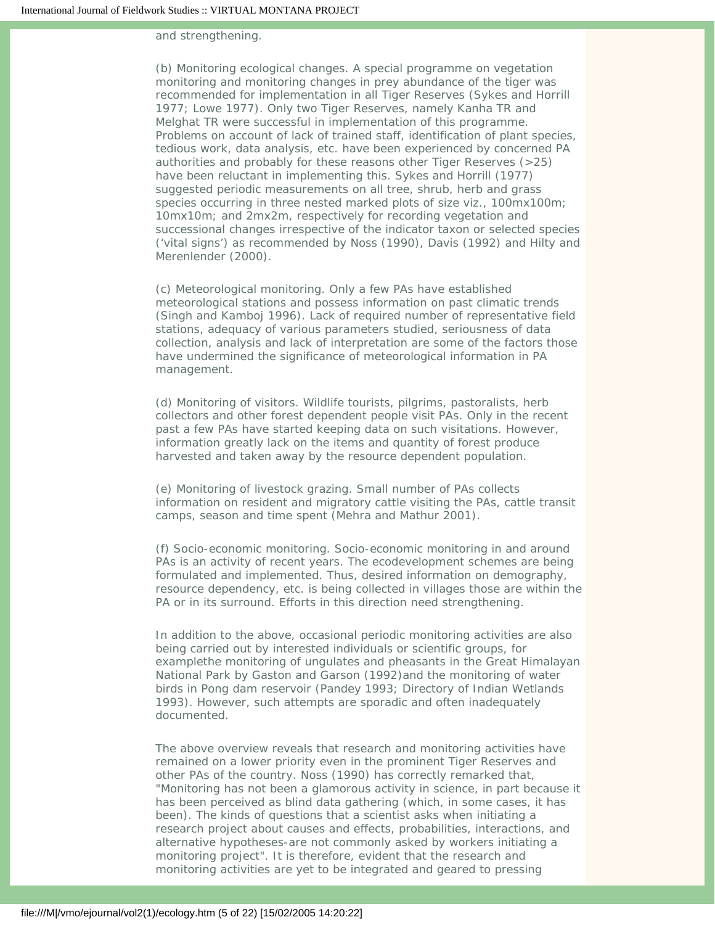and strengthening.

(b) Monitoring ecological changes. A special programme on vegetation monitoring and monitoring changes in prey abundance of the tiger was recommended for implementation in all Tiger Reserves (Sykes and Horrill 1977; Lowe 1977). Only two Tiger Reserves, namely Kanha TR and Melghat TR were successful in implementation of this programme. Problems on account of lack of trained staff, identification of plant species, tedious work, data analysis, etc. have been experienced by concerned PA authorities and probably for these reasons other Tiger Reserves (>25) have been reluctant in implementing this. Sykes and Horrill (1977) suggested periodic measurements on all tree, shrub, herb and grass species occurring in three nested marked plots of size viz., 100mx100m; 10mx10m; and 2mx2m, respectively for recording vegetation and successional changes irrespective of the indicator taxon or selected species ('vital signs') as recommended by Noss (1990), Davis (1992) and Hilty and Merenlender (2000).

(c) Meteorological monitoring. Only a few PAs have established meteorological stations and possess information on past climatic trends (Singh and Kamboj 1996). Lack of required number of representative field stations, adequacy of various parameters studied, seriousness of data collection, analysis and lack of interpretation are some of the factors those have undermined the significance of meteorological information in PA management.

(d) Monitoring of visitors. Wildlife tourists, pilgrims, pastoralists, herb collectors and other forest dependent people visit PAs. Only in the recent past a few PAs have started keeping data on such visitations. However, information greatly lack on the items and quantity of forest produce harvested and taken away by the resource dependent population.

(e) Monitoring of livestock grazing. Small number of PAs collects information on resident and migratory cattle visiting the PAs, cattle transit camps, season and time spent (Mehra and Mathur 2001).

(f) Socio-economic monitoring. Socio-economic monitoring in and around PAs is an activity of recent years. The ecodevelopment schemes are being formulated and implemented. Thus, desired information on demography, resource dependency, etc. is being collected in villages those are within the PA or in its surround. Efforts in this direction need strengthening.

In addition to the above, occasional periodic monitoring activities are also being carried out by interested individuals or scientific groups, for examplethe monitoring of ungulates and pheasants in the Great Himalayan National Park by Gaston and Garson (1992)and the monitoring of water birds in Pong dam reservoir (Pandey 1993; Directory of Indian Wetlands 1993). However, such attempts are sporadic and often inadequately documented.

The above overview reveals that research and monitoring activities have remained on a lower priority even in the prominent Tiger Reserves and other PAs of the country. Noss (1990) has correctly remarked that, "Monitoring has not been a glamorous activity in science, in part because it has been perceived as blind data gathering (which, in some cases, it has been). The kinds of questions that a scientist asks when initiating a research project about causes and effects, probabilities, interactions, and alternative hypotheses-are not commonly asked by workers initiating a monitoring project". It is therefore, evident that the research and monitoring activities are yet to be integrated and geared to pressing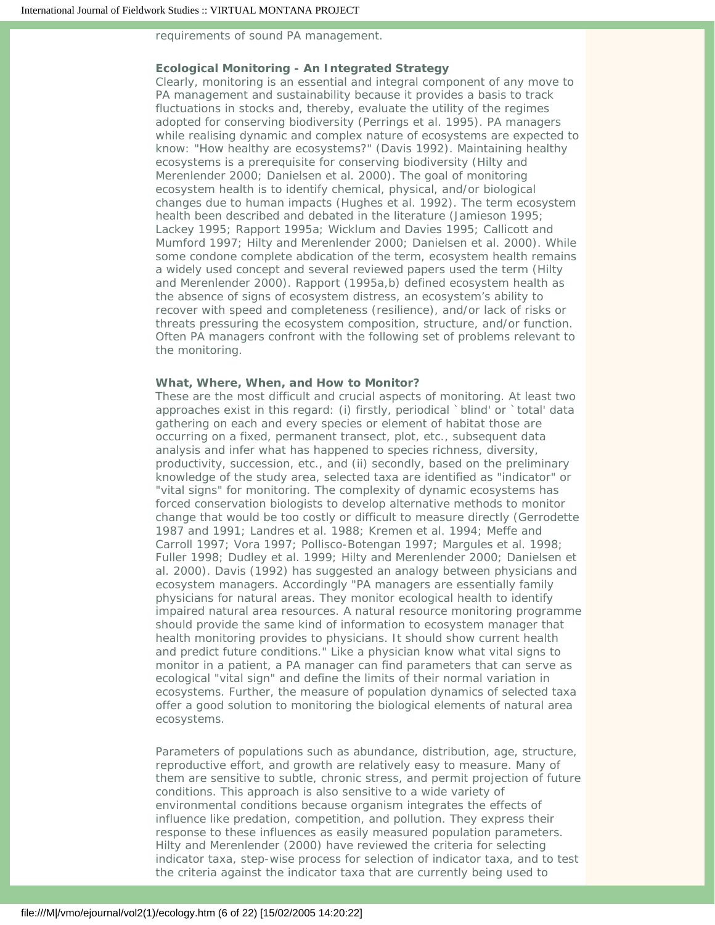requirements of sound PA management.

## **Ecological Monitoring - An Integrated Strategy**

Clearly, monitoring is an essential and integral component of any move to PA management and sustainability because it provides a basis to track fluctuations in stocks and, thereby, evaluate the utility of the regimes adopted for conserving biodiversity (Perrings et al. 1995). PA managers while realising dynamic and complex nature of ecosystems are expected to know: "How healthy are ecosystems?" (Davis 1992). Maintaining healthy ecosystems is a prerequisite for conserving biodiversity (Hilty and Merenlender 2000; Danielsen et al. 2000). The goal of monitoring ecosystem health is to identify chemical, physical, and/or biological changes due to human impacts (Hughes et al. 1992). The term ecosystem health been described and debated in the literature (Jamieson 1995; Lackey 1995; Rapport 1995a; Wicklum and Davies 1995; Callicott and Mumford 1997; Hilty and Merenlender 2000; Danielsen et al. 2000). While some condone complete abdication of the term, ecosystem health remains a widely used concept and several reviewed papers used the term (Hilty and Merenlender 2000). Rapport (1995a,b) defined ecosystem health as the absence of signs of ecosystem distress, an ecosystem's ability to recover with speed and completeness (resilience), and/or lack of risks or threats pressuring the ecosystem composition, structure, and/or function. Often PA managers confront with the following set of problems relevant to the monitoring.

#### **What, Where, When, and How to Monitor?**

These are the most difficult and crucial aspects of monitoring. At least two approaches exist in this regard: (i) firstly, periodical `blind' or `total' data gathering on each and every species or element of habitat those are occurring on a fixed, permanent transect, plot, etc., subsequent data analysis and infer what has happened to species richness, diversity, productivity, succession, etc., and (ii) secondly, based on the preliminary knowledge of the study area, selected taxa are identified as "indicator" or "vital signs" for monitoring. The complexity of dynamic ecosystems has forced conservation biologists to develop alternative methods to monitor change that would be too costly or difficult to measure directly (Gerrodette 1987 and 1991; Landres et al. 1988; Kremen et al. 1994; Meffe and Carroll 1997; Vora 1997; Pollisco-Botengan 1997; Margules et al. 1998; Fuller 1998; Dudley et al. 1999; Hilty and Merenlender 2000; Danielsen et al. 2000). Davis (1992) has suggested an analogy between physicians and ecosystem managers. Accordingly "PA managers are essentially family physicians for natural areas. They monitor ecological health to identify impaired natural area resources. A natural resource monitoring programme should provide the same kind of information to ecosystem manager that health monitoring provides to physicians. It should show current health and predict future conditions." Like a physician know what vital signs to monitor in a patient, a PA manager can find parameters that can serve as ecological "vital sign" and define the limits of their normal variation in ecosystems. Further, the measure of population dynamics of selected taxa offer a good solution to monitoring the biological elements of natural area ecosystems.

Parameters of populations such as abundance, distribution, age, structure, reproductive effort, and growth are relatively easy to measure. Many of them are sensitive to subtle, chronic stress, and permit projection of future conditions. This approach is also sensitive to a wide variety of environmental conditions because organism integrates the effects of influence like predation, competition, and pollution. They express their response to these influences as easily measured population parameters. Hilty and Merenlender (2000) have reviewed the criteria for selecting indicator taxa, step-wise process for selection of indicator taxa, and to test the criteria against the indicator taxa that are currently being used to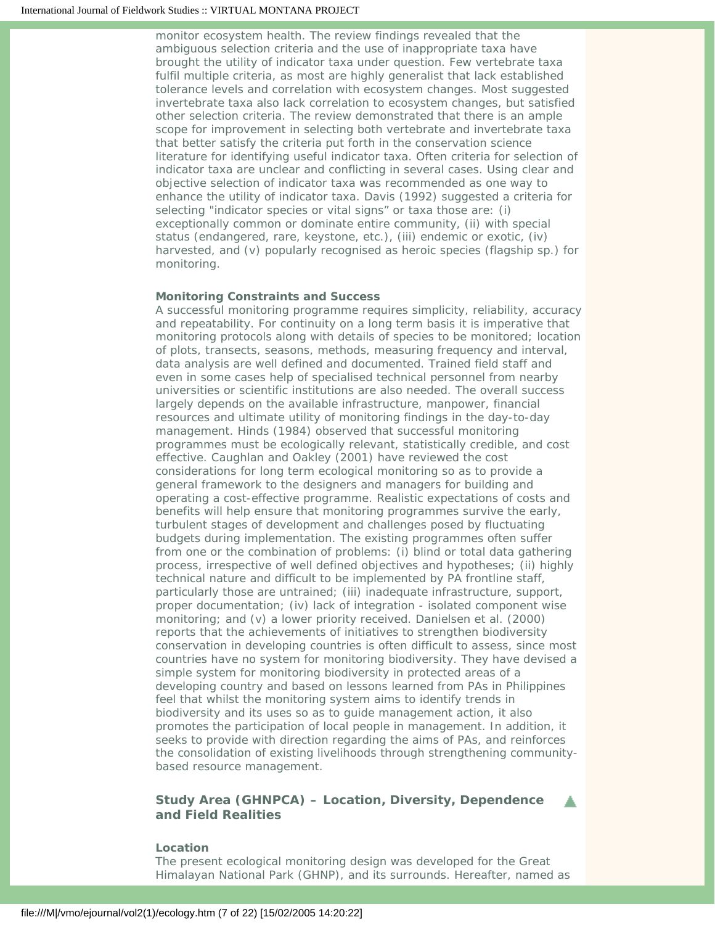monitor ecosystem health. The review findings revealed that the ambiguous selection criteria and the use of inappropriate taxa have brought the utility of indicator taxa under question. Few vertebrate taxa fulfil multiple criteria, as most are highly generalist that lack established tolerance levels and correlation with ecosystem changes. Most suggested invertebrate taxa also lack correlation to ecosystem changes, but satisfied other selection criteria. The review demonstrated that there is an ample scope for improvement in selecting both vertebrate and invertebrate taxa that better satisfy the criteria put forth in the conservation science literature for identifying useful indicator taxa. Often criteria for selection of indicator taxa are unclear and conflicting in several cases. Using clear and objective selection of indicator taxa was recommended as one way to enhance the utility of indicator taxa. Davis (1992) suggested a criteria for selecting "indicator species or vital signs" or taxa those are: (i) exceptionally common or dominate entire community, (ii) with special status (endangered, rare, keystone, etc.), (iii) endemic or exotic, (iv) harvested, and (v) popularly recognised as heroic species (flagship sp.) for monitoring.

## **Monitoring Constraints and Success**

A successful monitoring programme requires simplicity, reliability, accuracy and repeatability. For continuity on a long term basis it is imperative that monitoring protocols along with details of species to be monitored; location of plots, transects, seasons, methods, measuring frequency and interval, data analysis are well defined and documented. Trained field staff and even in some cases help of specialised technical personnel from nearby universities or scientific institutions are also needed. The overall success largely depends on the available infrastructure, manpower, financial resources and ultimate utility of monitoring findings in the day-to-day management. Hinds (1984) observed that successful monitoring programmes must be ecologically relevant, statistically credible, and cost effective. Caughlan and Oakley (2001) have reviewed the cost considerations for long term ecological monitoring so as to provide a general framework to the designers and managers for building and operating a cost-effective programme. Realistic expectations of costs and benefits will help ensure that monitoring programmes survive the early, turbulent stages of development and challenges posed by fluctuating budgets during implementation. The existing programmes often suffer from one or the combination of problems: (i) blind or total data gathering process, irrespective of well defined objectives and hypotheses; (ii) highly technical nature and difficult to be implemented by PA frontline staff, particularly those are untrained; (iii) inadequate infrastructure, support, proper documentation; (iv) lack of integration - isolated component wise monitoring; and (v) a lower priority received. Danielsen et al. (2000) reports that the achievements of initiatives to strengthen biodiversity conservation in developing countries is often difficult to assess, since most countries have no system for monitoring biodiversity. They have devised a simple system for monitoring biodiversity in protected areas of a developing country and based on lessons learned from PAs in Philippines feel that whilst the monitoring system aims to identify trends in biodiversity and its uses so as to guide management action, it also promotes the participation of local people in management. In addition, it seeks to provide with direction regarding the aims of PAs, and reinforces the consolidation of existing livelihoods through strengthening communitybased resource management.

# <span id="page-6-0"></span>**Study Area (GHNPCA) – Location, Diversity, Dependence and Field Realities**

#### **Location**

The present ecological monitoring design was developed for the Great Himalayan National Park (GHNP), and its surrounds. Hereafter, named as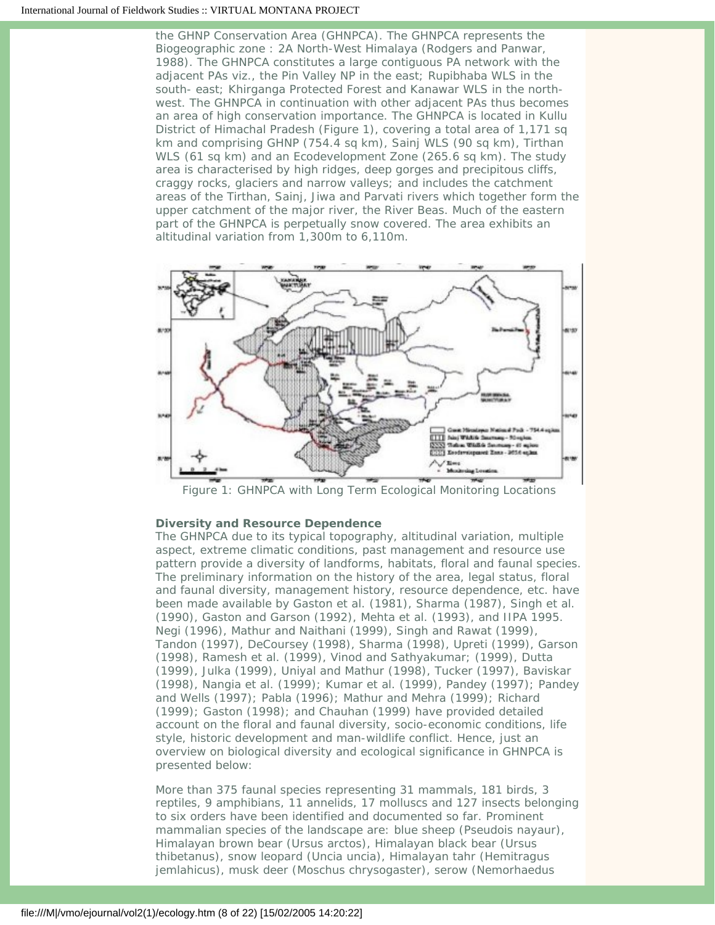the GHNP Conservation Area (GHNPCA). The GHNPCA represents the Biogeographic zone : 2A North-West Himalaya (Rodgers and Panwar, 1988). The GHNPCA constitutes a large contiguous PA network with the adjacent PAs viz., the Pin Valley NP in the east; Rupibhaba WLS in the south- east; Khirganga Protected Forest and Kanawar WLS in the northwest. The GHNPCA in continuation with other adjacent PAs thus becomes an area of high conservation importance. The GHNPCA is located in Kullu District of Himachal Pradesh (Figure 1), covering a total area of 1,171 sq km and comprising GHNP (754.4 sq km), Sainj WLS (90 sq km), Tirthan WLS (61 sq km) and an Ecodevelopment Zone (265.6 sq km). The study area is characterised by high ridges, deep gorges and precipitous cliffs, craggy rocks, glaciers and narrow valleys; and includes the catchment areas of the Tirthan, Sainj, Jiwa and Parvati rivers which together form the upper catchment of the major river, the River Beas. Much of the eastern part of the GHNPCA is perpetually snow covered. The area exhibits an altitudinal variation from 1,300m to 6,110m.



*Figure 1: GHNPCA with Long Term Ecological Monitoring Locations*

## **Diversity and Resource Dependence**

The GHNPCA due to its typical topography, altitudinal variation, multiple aspect, extreme climatic conditions, past management and resource use pattern provide a diversity of landforms, habitats, floral and faunal species. The preliminary information on the history of the area, legal status, floral and faunal diversity, management history, resource dependence, etc. have been made available by Gaston et al. (1981), Sharma (1987), Singh et al. (1990), Gaston and Garson (1992), Mehta et al. (1993), and IIPA 1995. Negi (1996), Mathur and Naithani (1999), Singh and Rawat (1999), Tandon (1997), DeCoursey (1998), Sharma (1998), Upreti (1999), Garson (1998), Ramesh et al. (1999), Vinod and Sathyakumar; (1999), Dutta (1999), Julka (1999), Uniyal and Mathur (1998), Tucker (1997), Baviskar (1998), Nangia et al. (1999); Kumar et al. (1999), Pandey (1997); Pandey and Wells (1997); Pabla (1996); Mathur and Mehra (1999); Richard (1999); Gaston (1998); and Chauhan (1999) have provided detailed account on the floral and faunal diversity, socio-economic conditions, life style, historic development and man-wildlife conflict. Hence, just an overview on biological diversity and ecological significance in GHNPCA is presented below:

More than 375 faunal species representing 31 mammals, 181 birds, 3 reptiles, 9 amphibians, 11 annelids, 17 molluscs and 127 insects belonging to six orders have been identified and documented so far. Prominent mammalian species of the landscape are: blue sheep (Pseudois nayaur), Himalayan brown bear (Ursus arctos), Himalayan black bear (Ursus thibetanus), snow leopard (Uncia uncia), Himalayan tahr (Hemitragus jemlahicus), musk deer (Moschus chrysogaster), serow (Nemorhaedus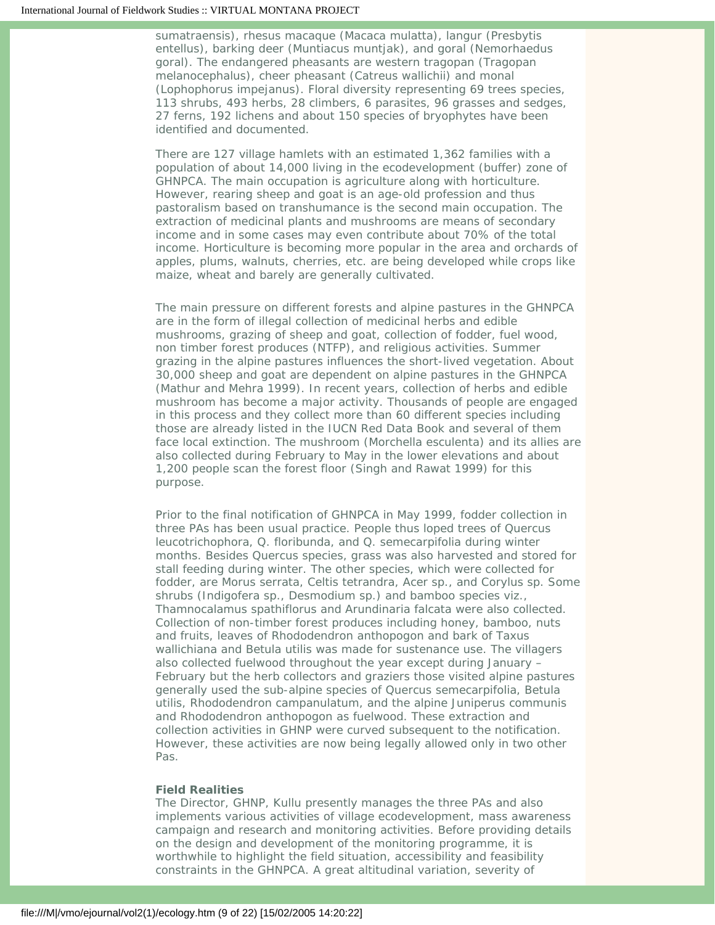sumatraensis), rhesus macaque (Macaca mulatta), langur (Presbytis entellus), barking deer (Muntiacus muntjak), and goral (Nemorhaedus goral). The endangered pheasants are western tragopan (Tragopan melanocephalus), cheer pheasant (Catreus wallichii) and monal (Lophophorus impejanus). Floral diversity representing 69 trees species, 113 shrubs, 493 herbs, 28 climbers, 6 parasites, 96 grasses and sedges, 27 ferns, 192 lichens and about 150 species of bryophytes have been identified and documented.

There are 127 village hamlets with an estimated 1,362 families with a population of about 14,000 living in the ecodevelopment (buffer) zone of GHNPCA. The main occupation is agriculture along with horticulture. However, rearing sheep and goat is an age-old profession and thus pastoralism based on transhumance is the second main occupation. The extraction of medicinal plants and mushrooms are means of secondary income and in some cases may even contribute about 70% of the total income. Horticulture is becoming more popular in the area and orchards of apples, plums, walnuts, cherries, etc. are being developed while crops like maize, wheat and barely are generally cultivated.

The main pressure on different forests and alpine pastures in the GHNPCA are in the form of illegal collection of medicinal herbs and edible mushrooms, grazing of sheep and goat, collection of fodder, fuel wood, non timber forest produces (NTFP), and religious activities. Summer grazing in the alpine pastures influences the short-lived vegetation. About 30,000 sheep and goat are dependent on alpine pastures in the GHNPCA (Mathur and Mehra 1999). In recent years, collection of herbs and edible mushroom has become a major activity. Thousands of people are engaged in this process and they collect more than 60 different species including those are already listed in the IUCN Red Data Book and several of them face local extinction. The mushroom (Morchella esculenta) and its allies are also collected during February to May in the lower elevations and about 1,200 people scan the forest floor (Singh and Rawat 1999) for this purpose.

Prior to the final notification of GHNPCA in May 1999, fodder collection in three PAs has been usual practice. People thus loped trees of Quercus leucotrichophora, Q. floribunda, and Q. semecarpifolia during winter months. Besides Quercus species, grass was also harvested and stored for stall feeding during winter. The other species, which were collected for fodder, are Morus serrata, Celtis tetrandra, Acer sp., and Corylus sp. Some shrubs (Indigofera sp., Desmodium sp.) and bamboo species viz., Thamnocalamus spathiflorus and Arundinaria falcata were also collected. Collection of non-timber forest produces including honey, bamboo, nuts and fruits, leaves of Rhododendron anthopogon and bark of Taxus wallichiana and Betula utilis was made for sustenance use. The villagers also collected fuelwood throughout the year except during January – February but the herb collectors and graziers those visited alpine pastures generally used the sub-alpine species of Quercus semecarpifolia, Betula utilis, Rhododendron campanulatum, and the alpine Juniperus communis and Rhododendron anthopogon as fuelwood. These extraction and collection activities in GHNP were curved subsequent to the notification. However, these activities are now being legally allowed only in two other Pas.

## **Field Realities**

The Director, GHNP, Kullu presently manages the three PAs and also implements various activities of village ecodevelopment, mass awareness campaign and research and monitoring activities. Before providing details on the design and development of the monitoring programme, it is worthwhile to highlight the field situation, accessibility and feasibility constraints in the GHNPCA. A great altitudinal variation, severity of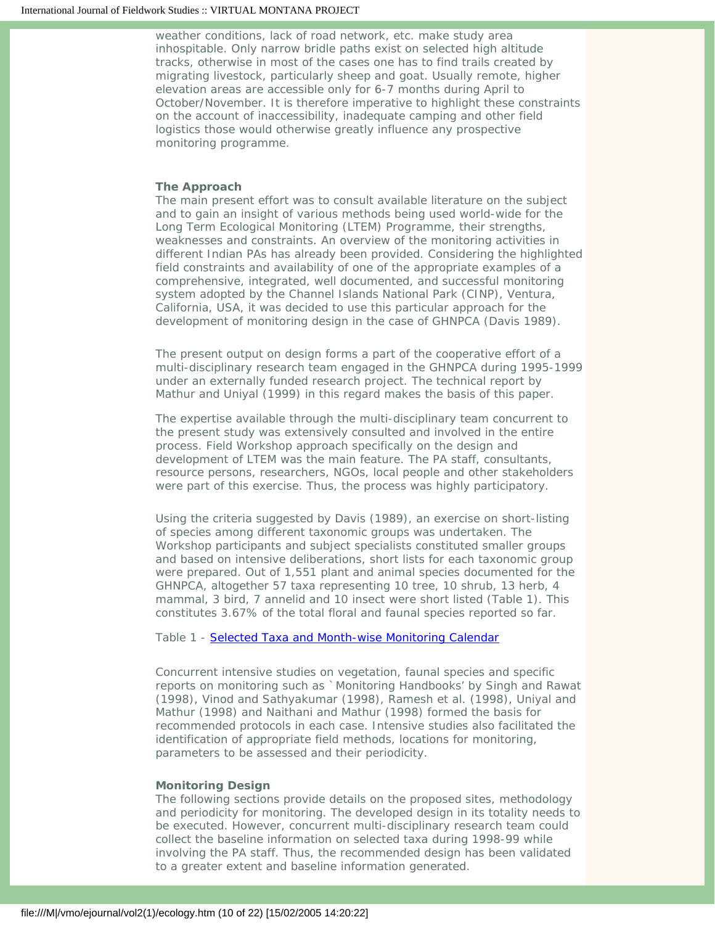weather conditions, lack of road network, etc. make study area inhospitable. Only narrow bridle paths exist on selected high altitude tracks, otherwise in most of the cases one has to find trails created by migrating livestock, particularly sheep and goat. Usually remote, higher elevation areas are accessible only for 6-7 months during April to October/November. It is therefore imperative to highlight these constraints on the account of inaccessibility, inadequate camping and other field logistics those would otherwise greatly influence any prospective monitoring programme.

## **The Approach**

The main present effort was to consult available literature on the subject and to gain an insight of various methods being used world-wide for the Long Term Ecological Monitoring (LTEM) Programme, their strengths, weaknesses and constraints. An overview of the monitoring activities in different Indian PAs has already been provided. Considering the highlighted field constraints and availability of one of the appropriate examples of a comprehensive, integrated, well documented, and successful monitoring system adopted by the Channel Islands National Park (CINP), Ventura, California, USA, it was decided to use this particular approach for the development of monitoring design in the case of GHNPCA (Davis 1989).

The present output on design forms a part of the cooperative effort of a multi-disciplinary research team engaged in the GHNPCA during 1995-1999 under an externally funded research project. The technical report by Mathur and Uniyal (1999) in this regard makes the basis of this paper.

The expertise available through the multi-disciplinary team concurrent to the present study was extensively consulted and involved in the entire process. Field Workshop approach specifically on the design and development of LTEM was the main feature. The PA staff, consultants, resource persons, researchers, NGOs, local people and other stakeholders were part of this exercise. Thus, the process was highly participatory.

Using the criteria suggested by Davis (1989), an exercise on short-listing of species among different taxonomic groups was undertaken. The Workshop participants and subject specialists constituted smaller groups and based on intensive deliberations, short lists for each taxonomic group were prepared. Out of 1,551 plant and animal species documented for the GHNPCA, altogether 57 taxa representing 10 tree, 10 shrub, 13 herb, 4 mammal, 3 bird, 7 annelid and 10 insect were short listed (Table 1). This constitutes 3.67% of the total floral and faunal species reported so far.

## Table 1 - [Selected Taxa and Month-wise Monitoring Calendar](file:///M|/vmo/ejournal/vol2(1)/Table_1_ecology.htm)

Concurrent intensive studies on vegetation, faunal species and specific reports on monitoring such as `Monitoring Handbooks' by Singh and Rawat (1998), Vinod and Sathyakumar (1998), Ramesh et al. (1998), Uniyal and Mathur (1998) and Naithani and Mathur (1998) formed the basis for recommended protocols in each case. Intensive studies also facilitated the identification of appropriate field methods, locations for monitoring, parameters to be assessed and their periodicity.

#### **Monitoring Design**

The following sections provide details on the proposed sites, methodology and periodicity for monitoring. The developed design in its totality needs to be executed. However, concurrent multi-disciplinary research team could collect the baseline information on selected taxa during 1998-99 while involving the PA staff. Thus, the recommended design has been validated to a greater extent and baseline information generated.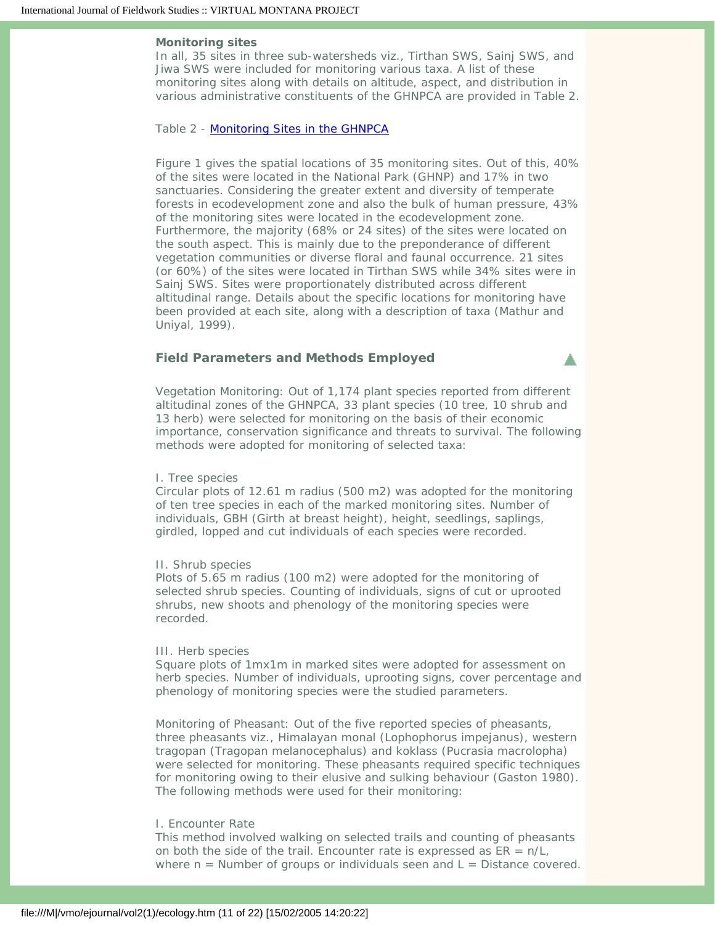#### **Monitoring sites**

In all, 35 sites in three sub-watersheds viz., Tirthan SWS, Sainj SWS, and Jiwa SWS were included for monitoring various taxa. A list of these monitoring sites along with details on altitude, aspect, and distribution in various administrative constituents of the GHNPCA are provided in Table 2.

#### Table 2 - [Monitoring Sites in the GHNPCA](file:///M|/vmo/ejournal/vol2(1)/Table_2_ecology.htm)

Figure 1 gives the spatial locations of 35 monitoring sites. Out of this, 40% of the sites were located in the National Park (GHNP) and 17% in two sanctuaries. Considering the greater extent and diversity of temperate forests in ecodevelopment zone and also the bulk of human pressure, 43% of the monitoring sites were located in the ecodevelopment zone. Furthermore, the majority (68% or 24 sites) of the sites were located on the south aspect. This is mainly due to the preponderance of different vegetation communities or diverse floral and faunal occurrence. 21 sites (or 60%) of the sites were located in Tirthan SWS while 34% sites were in Sainj SWS. Sites were proportionately distributed across different altitudinal range. Details about the specific locations for monitoring have been provided at each site, along with a description of taxa (Mathur and Uniyal, 1999).

## <span id="page-10-0"></span>**Field Parameters and Methods Employed**

Vegetation Monitoring: Out of 1,174 plant species reported from different altitudinal zones of the GHNPCA, 33 plant species (10 tree, 10 shrub and 13 herb) were selected for monitoring on the basis of their economic importance, conservation significance and threats to survival. The following methods were adopted for monitoring of selected taxa:

▲

#### I. Tree species

Circular plots of 12.61 m radius (500 m2) was adopted for the monitoring of ten tree species in each of the marked monitoring sites. Number of individuals, GBH (Girth at breast height), height, seedlings, saplings, girdled, lopped and cut individuals of each species were recorded.

### II. Shrub species

Plots of 5.65 m radius (100 m2) were adopted for the monitoring of selected shrub species. Counting of individuals, signs of cut or uprooted shrubs, new shoots and phenology of the monitoring species were recorded.

#### III. Herb species

Square plots of 1mx1m in marked sites were adopted for assessment on herb species. Number of individuals, uprooting signs, cover percentage and phenology of monitoring species were the studied parameters.

Monitoring of Pheasant: Out of the five reported species of pheasants, three pheasants viz., Himalayan monal (Lophophorus impejanus), western tragopan (Tragopan melanocephalus) and koklass (Pucrasia macrolopha) were selected for monitoring. These pheasants required specific techniques for monitoring owing to their elusive and sulking behaviour (Gaston 1980). The following methods were used for their monitoring:

### I. Encounter Rate

This method involved walking on selected trails and counting of pheasants on both the side of the trail. Encounter rate is expressed as  $ER = n/L$ , where  $n =$  Number of groups or individuals seen and  $L =$  Distance covered.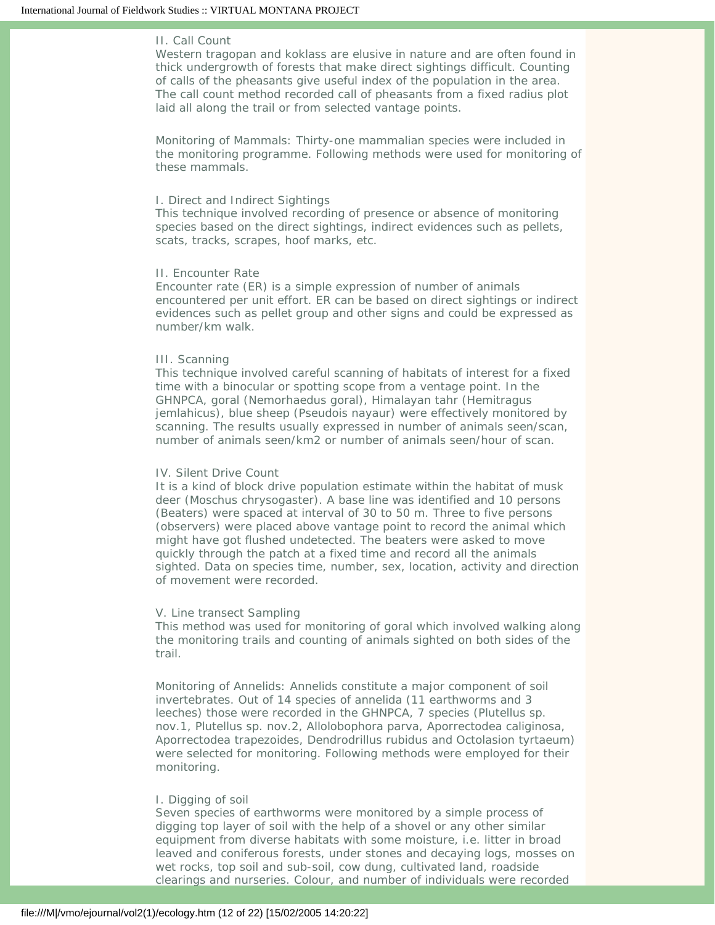## II. Call Count

Western tragopan and koklass are elusive in nature and are often found in thick undergrowth of forests that make direct sightings difficult. Counting of calls of the pheasants give useful index of the population in the area. The call count method recorded call of pheasants from a fixed radius plot laid all along the trail or from selected vantage points.

Monitoring of Mammals: Thirty-one mammalian species were included in the monitoring programme. Following methods were used for monitoring of these mammals.

#### I. Direct and Indirect Sightings

This technique involved recording of presence or absence of monitoring species based on the direct sightings, indirect evidences such as pellets, scats, tracks, scrapes, hoof marks, etc.

### II. Encounter Rate

Encounter rate (ER) is a simple expression of number of animals encountered per unit effort. ER can be based on direct sightings or indirect evidences such as pellet group and other signs and could be expressed as number/km walk.

#### III. Scanning

This technique involved careful scanning of habitats of interest for a fixed time with a binocular or spotting scope from a ventage point. In the GHNPCA, goral (Nemorhaedus goral), Himalayan tahr (Hemitragus jemlahicus), blue sheep (Pseudois nayaur) were effectively monitored by scanning. The results usually expressed in number of animals seen/scan, number of animals seen/km2 or number of animals seen/hour of scan.

#### IV. Silent Drive Count

It is a kind of block drive population estimate within the habitat of musk deer (Moschus chrysogaster). A base line was identified and 10 persons (Beaters) were spaced at interval of 30 to 50 m. Three to five persons (observers) were placed above vantage point to record the animal which might have got flushed undetected. The beaters were asked to move quickly through the patch at a fixed time and record all the animals sighted. Data on species time, number, sex, location, activity and direction of movement were recorded.

#### V. Line transect Sampling

This method was used for monitoring of goral which involved walking along the monitoring trails and counting of animals sighted on both sides of the trail.

Monitoring of Annelids: Annelids constitute a major component of soil invertebrates. Out of 14 species of annelida (11 earthworms and 3 leeches) those were recorded in the GHNPCA, 7 species (Plutellus sp. nov.1, Plutellus sp. nov.2, Allolobophora parva, Aporrectodea caliginosa, Aporrectodea trapezoides, Dendrodrillus rubidus and Octolasion tyrtaeum) were selected for monitoring. Following methods were employed for their monitoring.

### I. Digging of soil

Seven species of earthworms were monitored by a simple process of digging top layer of soil with the help of a shovel or any other similar equipment from diverse habitats with some moisture, i.e. litter in broad leaved and coniferous forests, under stones and decaying logs, mosses on wet rocks, top soil and sub-soil, cow dung, cultivated land, roadside clearings and nurseries. Colour, and number of individuals were recorded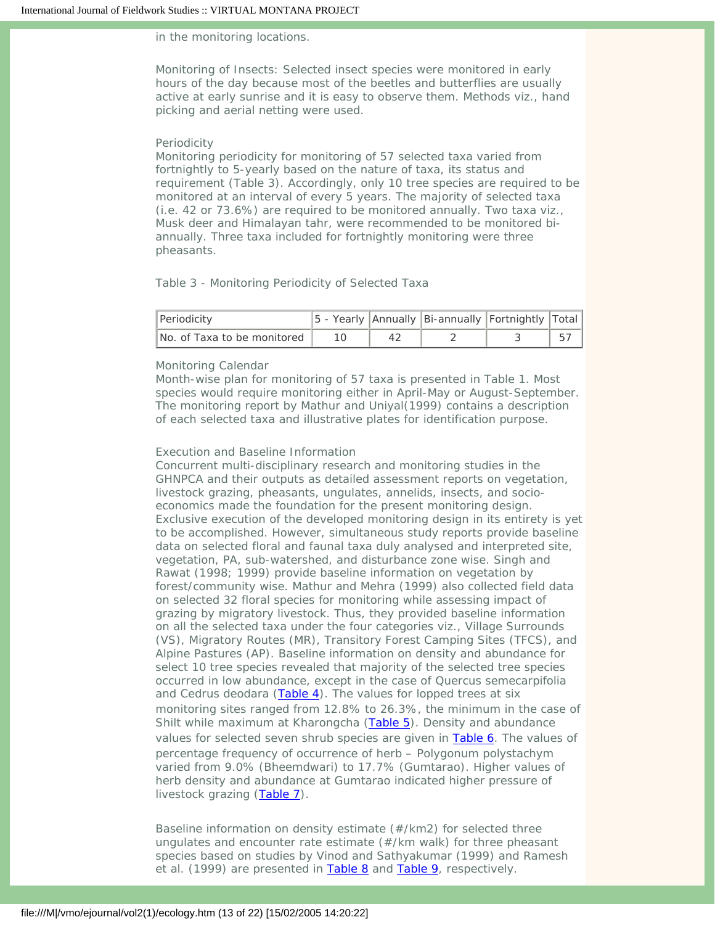### in the monitoring locations.

Monitoring of Insects: Selected insect species were monitored in early hours of the day because most of the beetles and butterflies are usually active at early sunrise and it is easy to observe them. Methods viz., hand picking and aerial netting were used.

#### Periodicity

Monitoring periodicity for monitoring of 57 selected taxa varied from fortnightly to 5-yearly based on the nature of taxa, its status and requirement (Table 3). Accordingly, only 10 tree species are required to be monitored at an interval of every 5 years. The majority of selected taxa (i.e. 42 or 73.6%) are required to be monitored annually. Two taxa viz., Musk deer and Himalayan tahr, were recommended to be monitored biannually. Three taxa included for fortnightly monitoring were three pheasants.

## Table 3 - Monitoring Periodicity of Selected Taxa

| Periodicity                 |  | 5 - Yearly   Annually   Bi-annually   Fortnightly   Total |  |
|-----------------------------|--|-----------------------------------------------------------|--|
| No. of Taxa to be monitored |  |                                                           |  |

## Monitoring Calendar

Month-wise plan for monitoring of 57 taxa is presented in Table 1. Most species would require monitoring either in April-May or August-September. The monitoring report by Mathur and Uniyal(1999) contains a description of each selected taxa and illustrative plates for identification purpose.

### Execution and Baseline Information

Concurrent multi-disciplinary research and monitoring studies in the GHNPCA and their outputs as detailed assessment reports on vegetation, livestock grazing, pheasants, ungulates, annelids, insects, and socioeconomics made the foundation for the present monitoring design. Exclusive execution of the developed monitoring design in its entirety is yet to be accomplished. However, simultaneous study reports provide baseline data on selected floral and faunal taxa duly analysed and interpreted site, vegetation, PA, sub-watershed, and disturbance zone wise. Singh and Rawat (1998; 1999) provide baseline information on vegetation by forest/community wise. Mathur and Mehra (1999) also collected field data on selected 32 floral species for monitoring while assessing impact of grazing by migratory livestock. Thus, they provided baseline information on all the selected taxa under the four categories viz., Village Surrounds (VS), Migratory Routes (MR), Transitory Forest Camping Sites (TFCS), and Alpine Pastures (AP). Baseline information on density and abundance for select 10 tree species revealed that majority of the selected tree species occurred in low abundance, except in the case of Quercus semecarpifolia and Cedrus deodara [\(Table 4\)](file:///M|/vmo/ejournal/vol2(1)/Table_4_ecology.htm#4). The values for lopped trees at six monitoring sites ranged from 12.8% to 26.3%, the minimum in the case of Shilt while maximum at Kharongcha ([Table 5](file:///M|/vmo/ejournal/vol2(1)/Table_4_ecology.htm#5)). Density and abundance values for selected seven shrub species are given in [Table 6](file:///M|/vmo/ejournal/vol2(1)/Table_4_ecology.htm#6). The values of percentage frequency of occurrence of herb – Polygonum polystachym varied from 9.0% (Bheemdwari) to 17.7% (Gumtarao). Higher values of herb density and abundance at Gumtarao indicated higher pressure of livestock grazing ([Table 7](file:///M|/vmo/ejournal/vol2(1)/table_4_ecology.htm#7)).

Baseline information on density estimate (#/km2) for selected three ungulates and encounter rate estimate (#/km walk) for three pheasant species based on studies by Vinod and Sathyakumar (1999) and Ramesh *et al*. (1999) are presented in [Table 8](file:///M|/vmo/ejournal/vol2(1)/Table_4_ecology.htm#8) and [Table 9,](file:///M|/vmo/ejournal/vol2(1)/Table_4_ecology.htm#9) respectively.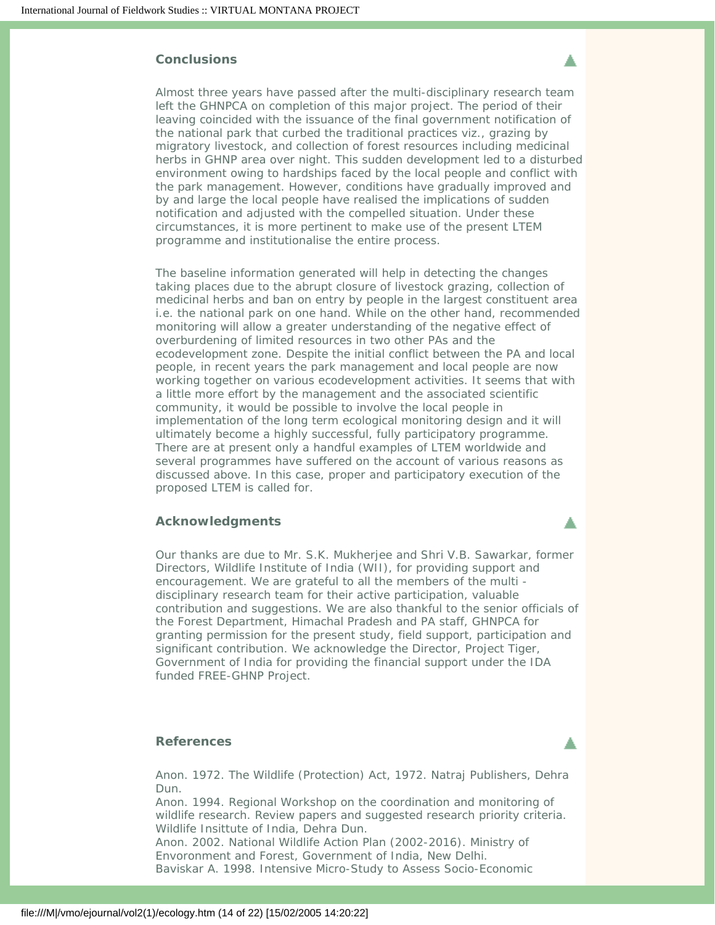## <span id="page-13-0"></span>**Conclusions**

Almost three years have passed after the multi-disciplinary research team left the GHNPCA on completion of this major project. The period of their leaving coincided with the issuance of the final government notification of the national park that curbed the traditional practices viz., grazing by migratory livestock, and collection of forest resources including medicinal herbs in GHNP area over night. This sudden development led to a disturbed environment owing to hardships faced by the local people and conflict with the park management. However, conditions have gradually improved and by and large the local people have realised the implications of sudden notification and adjusted with the compelled situation. Under these circumstances, it is more pertinent to make use of the present LTEM programme and institutionalise the entire process.

The baseline information generated will help in detecting the changes taking places due to the abrupt closure of livestock grazing, collection of medicinal herbs and ban on entry by people in the largest constituent area i.e. the national park on one hand. While on the other hand, recommended monitoring will allow a greater understanding of the negative effect of overburdening of limited resources in two other PAs and the ecodevelopment zone. Despite the initial conflict between the PA and local people, in recent years the park management and local people are now working together on various ecodevelopment activities. It seems that with a little more effort by the management and the associated scientific community, it would be possible to involve the local people in implementation of the long term ecological monitoring design and it will ultimately become a highly successful, fully participatory programme. There are at present only a handful examples of LTEM worldwide and several programmes have suffered on the account of various reasons as discussed above. In this case, proper and participatory execution of the proposed LTEM is called for.

## <span id="page-13-1"></span>**Acknowledgments**

Our thanks are due to Mr. S.K. Mukherjee and Shri V.B. Sawarkar, former Directors, Wildlife Institute of India (WII), for providing support and encouragement. We are grateful to all the members of the multi disciplinary research team for their active participation, valuable contribution and suggestions. We are also thankful to the senior officials of the Forest Department, Himachal Pradesh and PA staff, GHNPCA for granting permission for the present study, field support, participation and significant contribution. We acknowledge the Director, Project Tiger, Government of India for providing the financial support under the IDA funded FREE-GHNP Project.

## **References**

<span id="page-13-2"></span>Anon. 1972. The Wildlife (Protection) Act, 1972. Natraj Publishers, Dehra Dun.

Anon. 1994. Regional Workshop on the coordination and monitoring of wildlife research. Review papers and suggested research priority criteria. Wildlife Insittute of India, Dehra Dun.

Anon. 2002. National Wildlife Action Plan (2002-2016). Ministry of Envoronment and Forest, Government of India, New Delhi. Baviskar A. 1998. Intensive Micro-Study to Assess Socio-Economic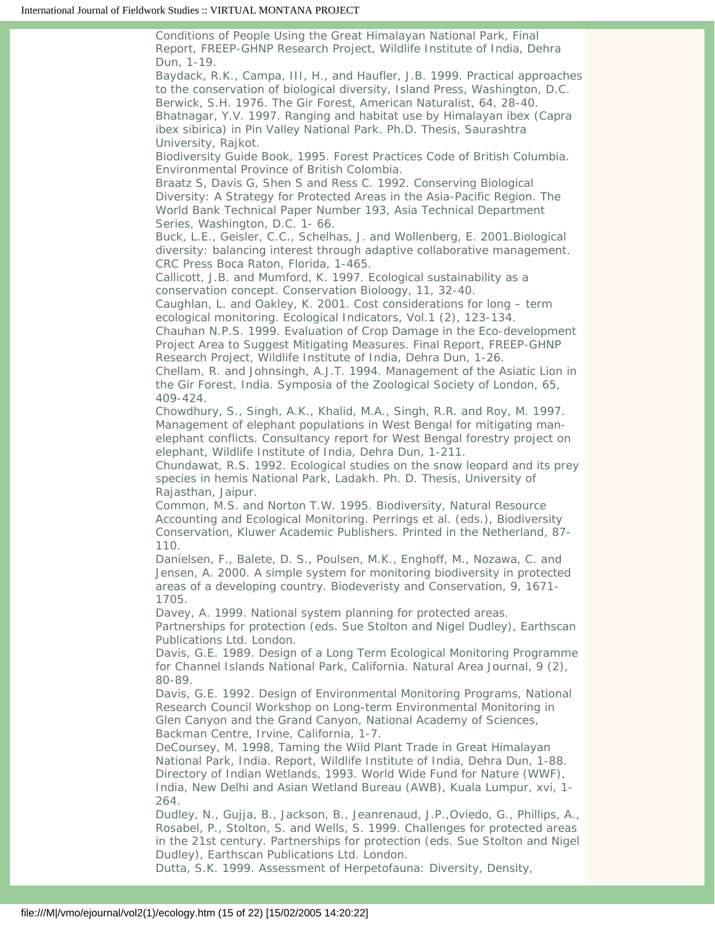Conditions of People Using the Great Himalayan National Park, Final Report, FREEP-GHNP Research Project, Wildlife Institute of India, Dehra Dun, 1-19.

Baydack, R.K., Campa, III, H., and Haufler, J.B. 1999. Practical approaches to the conservation of biological diversity, Island Press, Washington, D.C. Berwick, S.H. 1976. The Gir Forest, American Naturalist, 64, 28-40. Bhatnagar, Y.V. 1997. Ranging and habitat use by Himalayan ibex (Capra ibex sibirica) in Pin Valley National Park. Ph.D. Thesis, Saurashtra University, Rajkot.

Biodiversity Guide Book, 1995. Forest Practices Code of British Columbia. Environmental Province of British Colombia.

Braatz S, Davis G, Shen S and Ress C. 1992. Conserving Biological Diversity: A Strategy for Protected Areas in the Asia-Pacific Region. The World Bank Technical Paper Number 193, Asia Technical Department Series, Washington, D.C. 1- 66.

Buck, L.E., Geisler, C.C., Schelhas, J. and Wollenberg, E. 2001.Biological diversity: balancing interest through adaptive collaborative management. CRC Press Boca Raton, Florida, 1-465.

Callicott, J.B. and Mumford, K. 1997. Ecological sustainability as a conservation concept. Conservation Bioloogy, 11, 32-40.

Caughlan, L. and Oakley, K. 2001. Cost considerations for long – term ecological monitoring. Ecological Indicators, Vol.1 (2), 123-134.

Chauhan N.P.S. 1999. Evaluation of Crop Damage in the Eco-development Project Area to Suggest Mitigating Measures. Final Report, FREEP-GHNP Research Project, Wildlife Institute of India, Dehra Dun, 1-26.

Chellam, R. and Johnsingh, A.J.T. 1994. Management of the Asiatic Lion in the Gir Forest, India. Symposia of the Zoological Society of London, 65, 409-424.

Chowdhury, S., Singh, A.K., Khalid, M.A., Singh, R.R. and Roy, M. 1997. Management of elephant populations in West Bengal for mitigating manelephant conflicts. Consultancy report for West Bengal forestry project on elephant, Wildlife Institute of India, Dehra Dun, 1-211.

Chundawat, R.S. 1992. Ecological studies on the snow leopard and its prey species in hemis National Park, Ladakh. Ph. D. Thesis, University of Rajasthan, Jaipur.

Common, M.S. and Norton T.W. 1995. Biodiversity, Natural Resource Accounting and Ecological Monitoring. Perrings et al. (eds.), Biodiversity Conservation, Kluwer Academic Publishers. Printed in the Netherland, 87- 110.

Danielsen, F., Balete, D. S., Poulsen, M.K., Enghoff, M., Nozawa, C. and Jensen, A. 2000. A simple system for monitoring biodiversity in protected areas of a developing country. Biodeveristy and Conservation, 9, 1671- 1705.

Davey, A. 1999. National system planning for protected areas. Partnerships for protection (eds. Sue Stolton and Nigel Dudley), Earthscan Publications Ltd. London.

Davis, G.E. 1989. Design of a Long Term Ecological Monitoring Programme for Channel Islands National Park, California. Natural Area Journal, 9 (2), 80-89.

Davis, G.E. 1992. Design of Environmental Monitoring Programs, National Research Council Workshop on Long-term Environmental Monitoring in Glen Canyon and the Grand Canyon, National Academy of Sciences, Backman Centre, Irvine, California, 1-7.

DeCoursey, M. 1998, Taming the Wild Plant Trade in Great Himalayan National Park, India. Report, Wildlife Institute of India, Dehra Dun, 1-88. Directory of Indian Wetlands, 1993. World Wide Fund for Nature (WWF), India, New Delhi and Asian Wetland Bureau (AWB), Kuala Lumpur, xvi, 1- 264.

Dudley, N., Gujja, B., Jackson, B., Jeanrenaud, J.P.,Oviedo, G., Phillips, A., Rosabel, P., Stolton, S. and Wells, S. 1999. Challenges for protected areas in the 21st century. Partnerships for protection (eds. Sue Stolton and Nigel Dudley), Earthscan Publications Ltd. London.

Dutta, S.K. 1999. Assessment of Herpetofauna: Diversity, Density,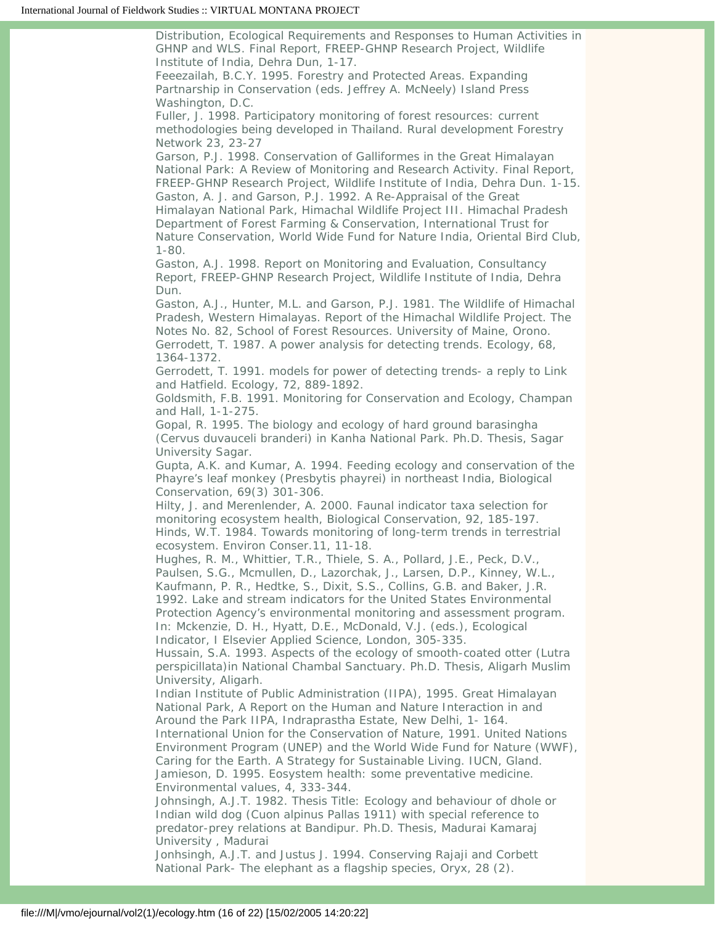Distribution, Ecological Requirements and Responses to Human Activities in GHNP and WLS. Final Report, FREEP-GHNP Research Project, Wildlife Institute of India, Dehra Dun, 1-17.

Feeezailah, B.C.Y. 1995. Forestry and Protected Areas. Expanding Partnarship in Conservation (eds. Jeffrey A. McNeely) Island Press Washington, D.C.

Fuller, J. 1998. Participatory monitoring of forest resources: current methodologies being developed in Thailand. Rural development Forestry Network 23, 23-27

Garson, P.J. 1998. Conservation of Galliformes in the Great Himalayan National Park: A Review of Monitoring and Research Activity. Final Report, FREEP-GHNP Research Project, Wildlife Institute of India, Dehra Dun. 1-15. Gaston, A. J. and Garson, P.J. 1992. A Re-Appraisal of the Great Himalayan National Park, Himachal Wildlife Project III. Himachal Pradesh Department of Forest Farming & Conservation, International Trust for Nature Conservation, World Wide Fund for Nature India, Oriental Bird Club, 1-80.

Gaston, A.J. 1998. Report on Monitoring and Evaluation, Consultancy Report, FREEP-GHNP Research Project, Wildlife Institute of India, Dehra Dun.

Gaston, A.J., Hunter, M.L. and Garson, P.J. 1981. The Wildlife of Himachal Pradesh, Western Himalayas. Report of the Himachal Wildlife Project. The Notes No. 82, School of Forest Resources. University of Maine, Orono. Gerrodett, T. 1987. A power analysis for detecting trends. Ecology, 68, 1364-1372.

Gerrodett, T. 1991. models for power of detecting trends- a reply to Link and Hatfield. Ecology, 72, 889-1892.

Goldsmith, F.B. 1991. Monitoring for Conservation and Ecology, Champan and Hall, 1-1-275.

Gopal, R. 1995. The biology and ecology of hard ground barasingha (Cervus duvauceli branderi) in Kanha National Park. Ph.D. Thesis, Sagar University Sagar.

Gupta, A.K. and Kumar, A. 1994. Feeding ecology and conservation of the Phayre's leaf monkey (Presbytis phayrei) in northeast India, Biological Conservation, 69(3) 301-306.

Hilty, J. and Merenlender, A. 2000. Faunal indicator taxa selection for monitoring ecosystem health, Biological Conservation, 92, 185-197. Hinds, W.T. 1984. Towards monitoring of long-term trends in terrestrial ecosystem. Environ Conser.11, 11-18.

Hughes, R. M., Whittier, T.R., Thiele, S. A., Pollard, J.E., Peck, D.V., Paulsen, S.G., Mcmullen, D., Lazorchak, J., Larsen, D.P., Kinney, W.L., Kaufmann, P. R., Hedtke, S., Dixit, S.S., Collins, G.B. and Baker, J.R. 1992. Lake and stream indicators for the United States Environmental Protection Agency's environmental monitoring and assessment program. In: Mckenzie, D. H., Hyatt, D.E., McDonald, V.J. (eds.), Ecological

Indicator, I Elsevier Applied Science, London, 305-335.

Hussain, S.A. 1993. Aspects of the ecology of smooth-coated otter (Lutra perspicillata)in National Chambal Sanctuary. Ph.D. Thesis, Aligarh Muslim University, Aligarh.

Indian Institute of Public Administration (IIPA), 1995. Great Himalayan National Park, A Report on the Human and Nature Interaction in and Around the Park IIPA, Indraprastha Estate, New Delhi, 1- 164.

International Union for the Conservation of Nature, 1991. United Nations Environment Program (UNEP) and the World Wide Fund for Nature (WWF), Caring for the Earth. A Strategy for Sustainable Living. IUCN, Gland. Jamieson, D. 1995. Eosystem health: some preventative medicine. Environmental values, 4, 333-344.

Johnsingh, A.J.T. 1982. Thesis Title: Ecology and behaviour of dhole or Indian wild dog (Cuon alpinus Pallas 1911) with special reference to predator-prey relations at Bandipur. Ph.D. Thesis, Madurai Kamaraj University , Madurai

Jonhsingh, A.J.T. and Justus J. 1994. Conserving Rajaji and Corbett National Park- The elephant as a flagship species, Oryx, 28 (2).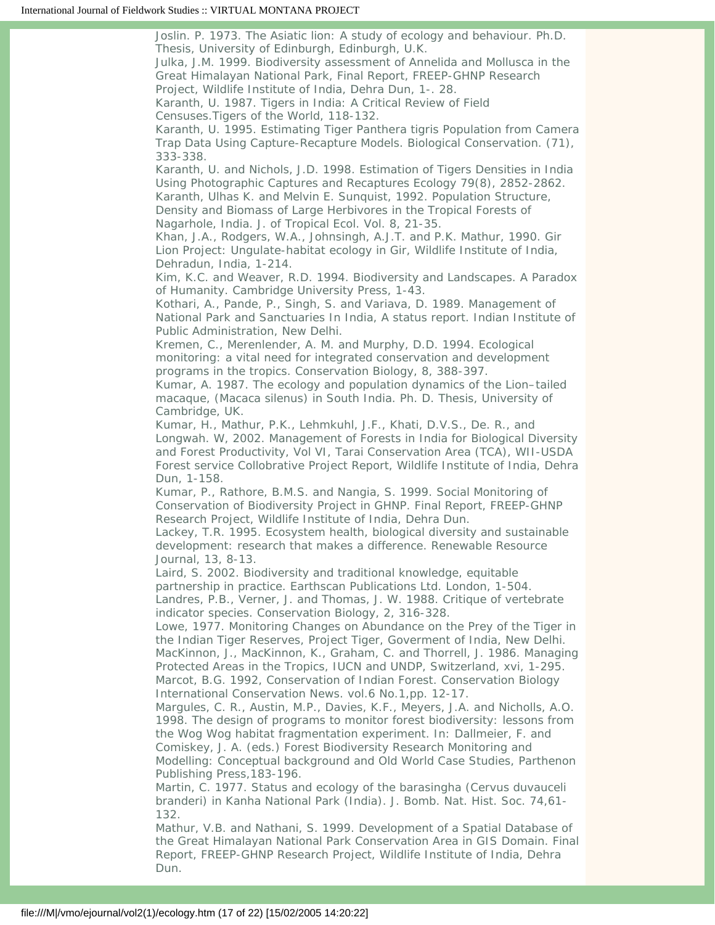Joslin. P. 1973. The Asiatic lion: A study of ecology and behaviour. Ph.D. Thesis, University of Edinburgh, Edinburgh, U.K. Julka, J.M. 1999. Biodiversity assessment of Annelida and Mollusca in the Great Himalayan National Park, Final Report, FREEP-GHNP Research Project, Wildlife Institute of India, Dehra Dun, 1-. 28. Karanth, U. 1987. Tigers in India: A Critical Review of Field Censuses.Tigers of the World, 118-132. Karanth, U. 1995. Estimating Tiger Panthera tigris Population from Camera Trap Data Using Capture-Recapture Models. Biological Conservation. (71), 333-338. Karanth, U. and Nichols, J.D. 1998. Estimation of Tigers Densities in India Using Photographic Captures and Recaptures Ecology 79(8), 2852-2862. Karanth, Ulhas K. and Melvin E. Sunquist, 1992. Population Structure, Density and Biomass of Large Herbivores in the Tropical Forests of Nagarhole, India. J. of Tropical Ecol. Vol. 8, 21-35. Khan, J.A., Rodgers, W.A., Johnsingh, A.J.T. and P.K. Mathur, 1990. Gir Lion Project: Ungulate-habitat ecology in Gir, Wildlife Institute of India, Dehradun, India, 1-214. Kim, K.C. and Weaver, R.D. 1994. Biodiversity and Landscapes. A Paradox of Humanity. Cambridge University Press, 1-43. Kothari, A., Pande, P., Singh, S. and Variava, D. 1989. Management of National Park and Sanctuaries In India, A status report. Indian Institute of Public Administration, New Delhi. Kremen, C., Merenlender, A. M. and Murphy, D.D. 1994. Ecological monitoring: a vital need for integrated conservation and development programs in the tropics. Conservation Biology, 8, 388-397. Kumar, A. 1987. The ecology and population dynamics of the Lion–tailed macaque, (Macaca silenus) in South India. Ph. D. Thesis, University of Cambridge, UK. Kumar, H., Mathur, P.K., Lehmkuhl, J.F., Khati, D.V.S., De. R., and Longwah. W, 2002. Management of Forests in India for Biological Diversity and Forest Productivity, Vol VI, Tarai Conservation Area (TCA), WII-USDA Forest service Collobrative Project Report, Wildlife Institute of India, Dehra Dun, 1-158. Kumar, P., Rathore, B.M.S. and Nangia, S. 1999. Social Monitoring of Conservation of Biodiversity Project in GHNP. Final Report, FREEP-GHNP Research Project, Wildlife Institute of India, Dehra Dun. Lackey, T.R. 1995. Ecosystem health, biological diversity and sustainable development: research that makes a difference. Renewable Resource Journal, 13, 8-13. Laird, S. 2002. Biodiversity and traditional knowledge, equitable partnership in practice. Earthscan Publications Ltd. London, 1-504. Landres, P.B., Verner, J. and Thomas, J. W. 1988. Critique of vertebrate indicator species. Conservation Biology, 2, 316-328. Lowe, 1977. Monitoring Changes on Abundance on the Prey of the Tiger in the Indian Tiger Reserves, Project Tiger, Goverment of India, New Delhi. MacKinnon, J., MacKinnon, K., Graham, C. and Thorrell, J. 1986. Managing Protected Areas in the Tropics, IUCN and UNDP, Switzerland, xvi, 1-295. Marcot, B.G. 1992, Conservation of Indian Forest. Conservation Biology International Conservation News. vol.6 No.1,pp. 12-17. Margules, C. R., Austin, M.P., Davies, K.F., Meyers, J.A. and Nicholls, A.O. 1998. The design of programs to monitor forest biodiversity: lessons from the Wog Wog habitat fragmentation experiment. In: Dallmeier, F. and Comiskey, J. A. (eds.) Forest Biodiversity Research Monitoring and Modelling: Conceptual background and Old World Case Studies, Parthenon Publishing Press,183-196. Martin, C. 1977. Status and ecology of the barasingha (Cervus duvauceli branderi) in Kanha National Park (India). J. Bomb. Nat. Hist. Soc. 74,61- 132.

Mathur, V.B. and Nathani, S. 1999. Development of a Spatial Database of the Great Himalayan National Park Conservation Area in GIS Domain. Final Report, FREEP-GHNP Research Project, Wildlife Institute of India, Dehra Dun.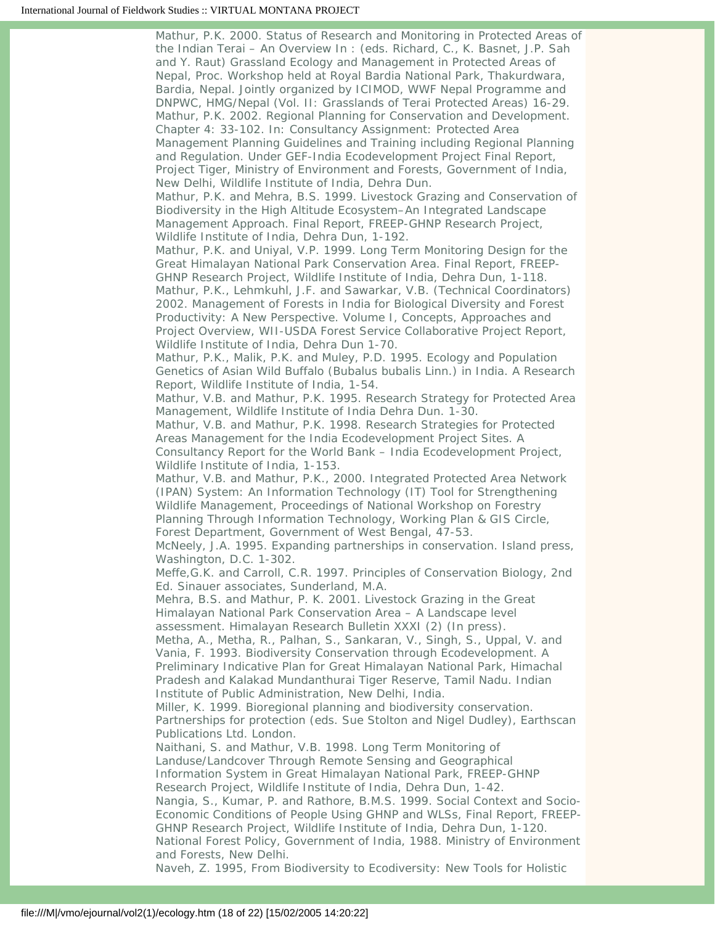Mathur, P.K. 2000. Status of Research and Monitoring in Protected Areas of the Indian Terai – An Overview In : (eds. Richard, C., K. Basnet, J.P. Sah and Y. Raut) Grassland Ecology and Management in Protected Areas of Nepal, Proc. Workshop held at Royal Bardia National Park, Thakurdwara, Bardia, Nepal. Jointly organized by ICIMOD, WWF Nepal Programme and DNPWC, HMG/Nepal (Vol. II: Grasslands of Terai Protected Areas) 16-29. Mathur, P.K. 2002. Regional Planning for Conservation and Development. Chapter 4: 33-102. In: Consultancy Assignment: Protected Area Management Planning Guidelines and Training including Regional Planning and Regulation. Under GEF-India Ecodevelopment Project Final Report, Project Tiger, Ministry of Environment and Forests, Government of India, New Delhi, Wildlife Institute of India, Dehra Dun. Mathur, P.K. and Mehra, B.S. 1999. Livestock Grazing and Conservation of Biodiversity in the High Altitude Ecosystem–An Integrated Landscape Management Approach. Final Report, FREEP-GHNP Research Project, Wildlife Institute of India, Dehra Dun, 1-192. Mathur, P.K. and Uniyal, V.P. 1999. Long Term Monitoring Design for the Great Himalayan National Park Conservation Area. Final Report, FREEP-GHNP Research Project, Wildlife Institute of India, Dehra Dun, 1-118. Mathur, P.K., Lehmkuhl, J.F. and Sawarkar, V.B. (Technical Coordinators) 2002. Management of Forests in India for Biological Diversity and Forest Productivity: A New Perspective. Volume I, Concepts, Approaches and Project Overview, WII-USDA Forest Service Collaborative Project Report, Wildlife Institute of India, Dehra Dun 1-70. Mathur, P.K., Malik, P.K. and Muley, P.D. 1995. Ecology and Population Genetics of Asian Wild Buffalo (Bubalus bubalis Linn.) in India. A Research Report, Wildlife Institute of India, 1-54. Mathur, V.B. and Mathur, P.K. 1995. Research Strategy for Protected Area Management, Wildlife Institute of India Dehra Dun. 1-30. Mathur, V.B. and Mathur, P.K. 1998. Research Strategies for Protected Areas Management for the India Ecodevelopment Project Sites. A Consultancy Report for the World Bank – India Ecodevelopment Project, Wildlife Institute of India, 1-153. Mathur, V.B. and Mathur, P.K., 2000. Integrated Protected Area Network (IPAN) System: An Information Technology (IT) Tool for Strengthening Wildlife Management, Proceedings of National Workshop on Forestry Planning Through Information Technology, Working Plan & GIS Circle, Forest Department, Government of West Bengal, 47-53. McNeely, J.A. 1995. Expanding partnerships in conservation. Island press, Washington, D.C. 1-302. Meffe,G.K. and Carroll, C.R. 1997. Principles of Conservation Biology, 2nd Ed. Sinauer associates, Sunderland, M.A. Mehra, B.S. and Mathur, P. K. 2001. Livestock Grazing in the Great Himalayan National Park Conservation Area – A Landscape level assessment. Himalayan Research Bulletin XXXI (2) (In press). Metha, A., Metha, R., Palhan, S., Sankaran, V., Singh, S., Uppal, V. and Vania, F. 1993. Biodiversity Conservation through Ecodevelopment. A Preliminary Indicative Plan for Great Himalayan National Park, Himachal Pradesh and Kalakad Mundanthurai Tiger Reserve, Tamil Nadu. Indian Institute of Public Administration, New Delhi, India. Miller, K. 1999. Bioregional planning and biodiversity conservation. Partnerships for protection (eds. Sue Stolton and Nigel Dudley), Earthscan Publications Ltd. London. Naithani, S. and Mathur, V.B. 1998. Long Term Monitoring of Landuse/Landcover Through Remote Sensing and Geographical Information System in Great Himalayan National Park, FREEP-GHNP Research Project, Wildlife Institute of India, Dehra Dun, 1-42. Nangia, S., Kumar, P. and Rathore, B.M.S. 1999. Social Context and Socio-Economic Conditions of People Using GHNP and WLSs, Final Report, FREEP-GHNP Research Project, Wildlife Institute of India, Dehra Dun, 1-120. National Forest Policy, Government of India, 1988. Ministry of Environment and Forests, New Delhi.

Naveh, Z. 1995, From Biodiversity to Ecodiversity: New Tools for Holistic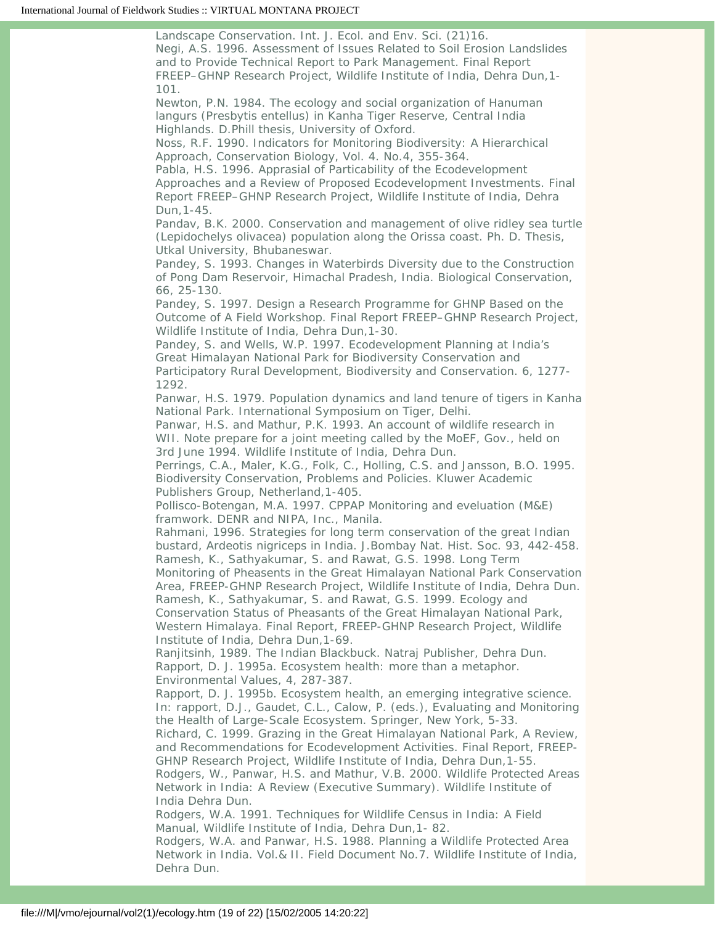Landscape Conservation. Int. J. Ecol. and Env. Sci. (21)16. Negi, A.S. 1996. Assessment of Issues Related to Soil Erosion Landslides and to Provide Technical Report to Park Management. Final Report FREEP–GHNP Research Project, Wildlife Institute of India, Dehra Dun,1- 101.

Newton, P.N. 1984. The ecology and social organization of Hanuman langurs (Presbytis entellus) in Kanha Tiger Reserve, Central India Highlands. D.Phill thesis, University of Oxford.

Noss, R.F. 1990. Indicators for Monitoring Biodiversity: A Hierarchical Approach, Conservation Biology, Vol. 4. No.4, 355-364.

Pabla, H.S. 1996. Apprasial of Particability of the Ecodevelopment Approaches and a Review of Proposed Ecodevelopment Investments. Final Report FREEP–GHNP Research Project, Wildlife Institute of India, Dehra Dun,1-45.

Pandav, B.K. 2000. Conservation and management of olive ridley sea turtle (Lepidochelys olivacea) population along the Orissa coast. Ph. D. Thesis, Utkal University, Bhubaneswar.

Pandey, S. 1993. Changes in Waterbirds Diversity due to the Construction of Pong Dam Reservoir, Himachal Pradesh, India. Biological Conservation, 66, 25-130.

Pandey, S. 1997. Design a Research Programme for GHNP Based on the Outcome of A Field Workshop. Final Report FREEP–GHNP Research Project, Wildlife Institute of India, Dehra Dun,1-30.

Pandey, S. and Wells, W.P. 1997. Ecodevelopment Planning at India's Great Himalayan National Park for Biodiversity Conservation and Participatory Rural Development, Biodiversity and Conservation. 6, 1277- 1292.

Panwar, H.S. 1979. Population dynamics and land tenure of tigers in Kanha National Park. International Symposium on Tiger, Delhi.

Panwar, H.S. and Mathur, P.K. 1993. An account of wildlife research in WII. Note prepare for a joint meeting called by the MoEF, Gov., held on 3rd June 1994. Wildlife Institute of India, Dehra Dun.

Perrings, C.A., Maler, K.G., Folk, C., Holling, C.S. and Jansson, B.O. 1995. Biodiversity Conservation, Problems and Policies. Kluwer Academic Publishers Group, Netherland,1-405.

Pollisco-Botengan, M.A. 1997. CPPAP Monitoring and eveluation (M&E) framwork. DENR and NIPA, Inc., Manila.

Rahmani, 1996. Strategies for long term conservation of the great Indian bustard, Ardeotis nigriceps in India. J.Bombay Nat. Hist. Soc. 93, 442-458. Ramesh, K., Sathyakumar, S. and Rawat, G.S. 1998. Long Term

Monitoring of Pheasents in the Great Himalayan National Park Conservation Area, FREEP-GHNP Research Project, Wildlife Institute of India, Dehra Dun. Ramesh, K., Sathyakumar, S. and Rawat, G.S. 1999. Ecology and

Conservation Status of Pheasants of the Great Himalayan National Park, Western Himalaya. Final Report, FREEP-GHNP Research Project, Wildlife Institute of India, Dehra Dun,1-69.

Ranjitsinh, 1989. The Indian Blackbuck. Natraj Publisher, Dehra Dun. Rapport, D. J. 1995a. Ecosystem health: more than a metaphor. Environmental Values, 4, 287-387.

Rapport, D. J. 1995b. Ecosystem health, an emerging integrative science. In: rapport, D.J., Gaudet, C.L., Calow, P. (eds.), Evaluating and Monitoring the Health of Large-Scale Ecosystem. Springer, New York, 5-33.

Richard, C. 1999. Grazing in the Great Himalayan National Park, A Review, and Recommendations for Ecodevelopment Activities. Final Report, FREEP-GHNP Research Project, Wildlife Institute of India, Dehra Dun,1-55.

Rodgers, W., Panwar, H.S. and Mathur, V.B. 2000. Wildlife Protected Areas Network in India: A Review (Executive Summary). Wildlife Institute of India Dehra Dun.

Rodgers, W.A. 1991. Techniques for Wildlife Census in India: A Field Manual, Wildlife Institute of India, Dehra Dun,1- 82.

Rodgers, W.A. and Panwar, H.S. 1988. Planning a Wildlife Protected Area Network in India. Vol.& II. Field Document No.7. Wildlife Institute of India, Dehra Dun.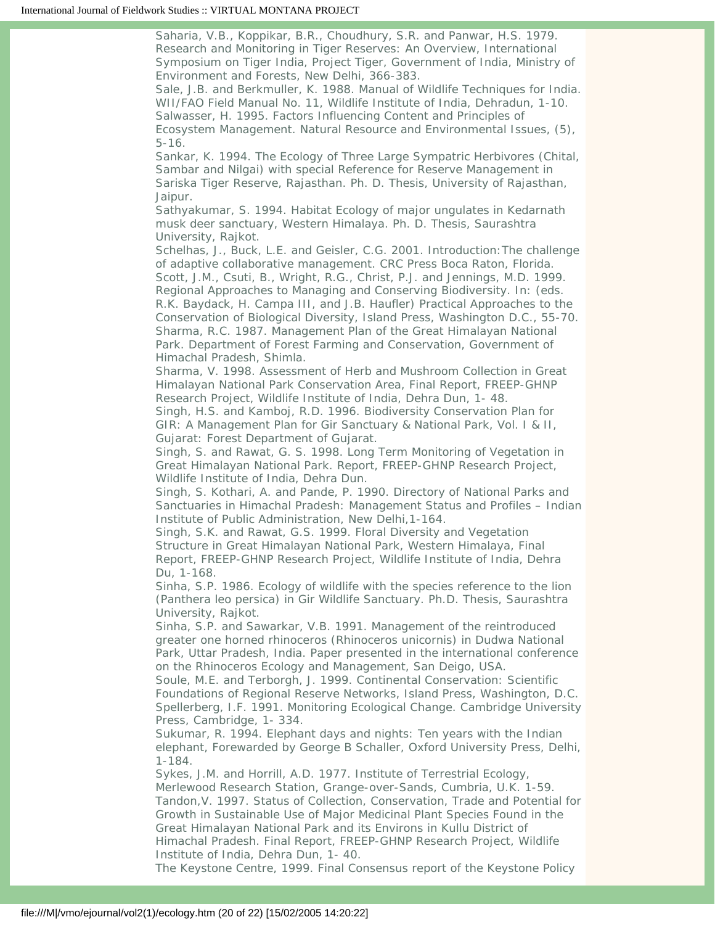Saharia, V.B., Koppikar, B.R., Choudhury, S.R. and Panwar, H.S. 1979. Research and Monitoring in Tiger Reserves: An Overview, International Symposium on Tiger India, Project Tiger, Government of India, Ministry of Environment and Forests, New Delhi, 366-383.

Sale, J.B. and Berkmuller, K. 1988. Manual of Wildlife Techniques for India. WII/FAO Field Manual No. 11, Wildlife Institute of India, Dehradun, 1-10. Salwasser, H. 1995. Factors Influencing Content and Principles of Ecosystem Management. Natural Resource and Environmental Issues, (5), 5-16.

Sankar, K. 1994. The Ecology of Three Large Sympatric Herbivores (Chital, Sambar and Nilgai) with special Reference for Reserve Management in Sariska Tiger Reserve, Rajasthan. Ph. D. Thesis, University of Rajasthan, Jaipur.

Sathyakumar, S. 1994. Habitat Ecology of major ungulates in Kedarnath musk deer sanctuary, Western Himalaya. Ph. D. Thesis, Saurashtra University, Rajkot.

Schelhas, J., Buck, L.E. and Geisler, C.G. 2001. Introduction:The challenge of adaptive collaborative management. CRC Press Boca Raton, Florida. Scott, J.M., Csuti, B., Wright, R.G., Christ, P.J. and Jennings, M.D. 1999. Regional Approaches to Managing and Conserving Biodiversity. In: (eds. R.K. Baydack, H. Campa III, and J.B. Haufler) Practical Approaches to the Conservation of Biological Diversity, Island Press, Washington D.C., 55-70. Sharma, R.C. 1987. Management Plan of the Great Himalayan National Park. Department of Forest Farming and Conservation, Government of Himachal Pradesh, Shimla.

Sharma, V. 1998. Assessment of Herb and Mushroom Collection in Great Himalayan National Park Conservation Area, Final Report, FREEP-GHNP Research Project, Wildlife Institute of India, Dehra Dun, 1- 48.

Singh, H.S. and Kamboj, R.D. 1996. Biodiversity Conservation Plan for GIR: A Management Plan for Gir Sanctuary & National Park, Vol. I & II, Gujarat: Forest Department of Gujarat.

Singh, S. and Rawat, G. S. 1998. Long Term Monitoring of Vegetation in Great Himalayan National Park. Report, FREEP-GHNP Research Project, Wildlife Institute of India, Dehra Dun.

Singh, S. Kothari, A. and Pande, P. 1990. Directory of National Parks and Sanctuaries in Himachal Pradesh: Management Status and Profiles – Indian Institute of Public Administration, New Delhi,1-164.

Singh, S.K. and Rawat, G.S. 1999. Floral Diversity and Vegetation Structure in Great Himalayan National Park, Western Himalaya, Final Report, FREEP-GHNP Research Project, Wildlife Institute of India, Dehra Du, 1-168.

Sinha, S.P. 1986. Ecology of wildlife with the species reference to the lion (Panthera leo persica) in Gir Wildlife Sanctuary. Ph.D. Thesis, Saurashtra University, Rajkot.

Sinha, S.P. and Sawarkar, V.B. 1991. Management of the reintroduced greater one horned rhinoceros (Rhinoceros unicornis) in Dudwa National Park, Uttar Pradesh, India. Paper presented in the international conference on the Rhinoceros Ecology and Management, San Deigo, USA.

Soule, M.E. and Terborgh, J. 1999. Continental Conservation: Scientific Foundations of Regional Reserve Networks, Island Press, Washington, D.C. Spellerberg, I.F. 1991. Monitoring Ecological Change. Cambridge University Press, Cambridge, 1- 334.

Sukumar, R. 1994. Elephant days and nights: Ten years with the Indian elephant, Forewarded by George B Schaller, Oxford University Press, Delhi, 1-184.

Sykes, J.M. and Horrill, A.D. 1977. Institute of Terrestrial Ecology, Merlewood Research Station, Grange-over-Sands, Cumbria, U.K. 1-59. Tandon,V. 1997. Status of Collection, Conservation, Trade and Potential for Growth in Sustainable Use of Major Medicinal Plant Species Found in the Great Himalayan National Park and its Environs in Kullu District of Himachal Pradesh. Final Report, FREEP-GHNP Research Project, Wildlife Institute of India, Dehra Dun, 1- 40.

The Keystone Centre, 1999. Final Consensus report of the Keystone Policy